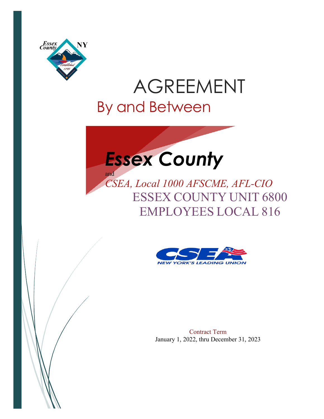

# AGREEMENT By and Between



*CSEA, Local 1000 AFSCME, AFL-CIO* ESSEX COUNTY UNIT 6800 EMPLOYEES LOCAL 816



Contract Term January 1, 2022, thru December 31, 2023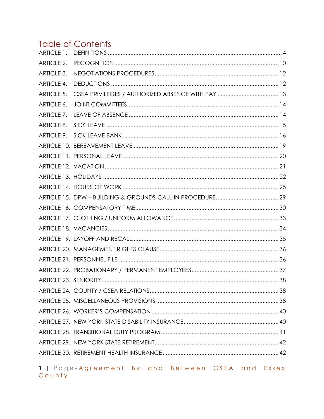# **Table of Contents**

| ARTICLE 1.        |  |
|-------------------|--|
| <b>ARTICLE 2.</b> |  |
| ARTICLE 3.        |  |
| <b>ARTICLE 4.</b> |  |
| <b>ARTICLE 5.</b> |  |
| ARTICLE 6.        |  |
| ARTICLE 7.        |  |
| ARTICLE 8.        |  |
|                   |  |
|                   |  |
|                   |  |
|                   |  |
|                   |  |
|                   |  |
|                   |  |
|                   |  |
|                   |  |
|                   |  |
|                   |  |
|                   |  |
|                   |  |
|                   |  |
|                   |  |
|                   |  |
|                   |  |
|                   |  |
|                   |  |
|                   |  |
|                   |  |
|                   |  |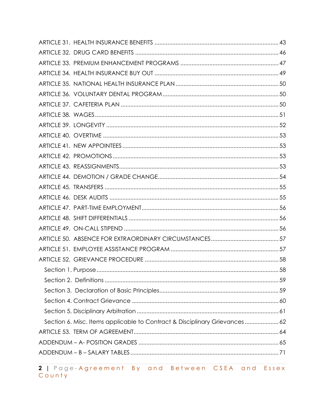| Section 6. Misc. Items applicable to Contract & Disciplinary Grievances 62 |  |
|----------------------------------------------------------------------------|--|
|                                                                            |  |
|                                                                            |  |
|                                                                            |  |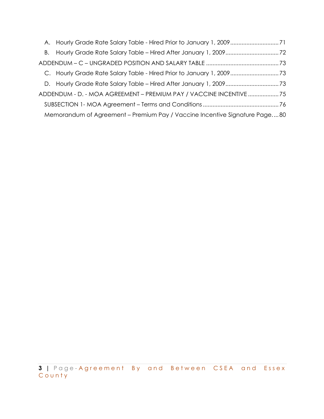| A. Hourly Grade Rate Salary Table - Hired Prior to January 1, 200971       |  |  |  |
|----------------------------------------------------------------------------|--|--|--|
|                                                                            |  |  |  |
|                                                                            |  |  |  |
|                                                                            |  |  |  |
|                                                                            |  |  |  |
| ADDENDUM - D. - MOA AGREEMENT - PREMIUM PAY / VACCINE INCENTIVE 75         |  |  |  |
|                                                                            |  |  |  |
| Memorandum of Agreement - Premium Pay / Vaccine Incentive Signature Page80 |  |  |  |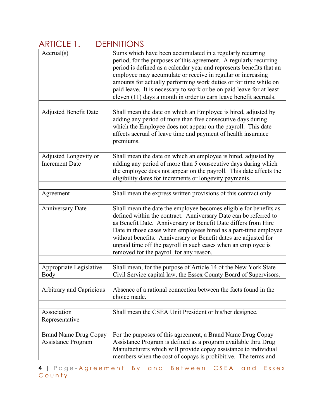| $\frac{1}{2}$                                  | <b>アロロ せいけいしょう</b>                                                                                                                                                                                                                                                                                                                                                                                                                                                                     |
|------------------------------------------------|----------------------------------------------------------------------------------------------------------------------------------------------------------------------------------------------------------------------------------------------------------------------------------------------------------------------------------------------------------------------------------------------------------------------------------------------------------------------------------------|
| $\text{Accrual}(s)$                            | Sums which have been accumulated in a regularly recurring<br>period, for the purposes of this agreement. A regularly recurring<br>period is defined as a calendar year and represents benefits that an<br>employee may accumulate or receive in regular or increasing<br>amounts for actually performing work duties or for time while on<br>paid leave. It is necessary to work or be on paid leave for at least<br>eleven (11) days a month in order to earn leave benefit accruals. |
|                                                |                                                                                                                                                                                                                                                                                                                                                                                                                                                                                        |
| <b>Adjusted Benefit Date</b>                   | Shall mean the date on which an Employee is hired, adjusted by<br>adding any period of more than five consecutive days during<br>which the Employee does not appear on the payroll. This date<br>affects accrual of leave time and payment of health insurance<br>premiums.                                                                                                                                                                                                            |
|                                                |                                                                                                                                                                                                                                                                                                                                                                                                                                                                                        |
| Adjusted Longevity or<br><b>Increment Date</b> | Shall mean the date on which an employee is hired, adjusted by<br>adding any period of more than 5 consecutive days during which<br>the employee does not appear on the payroll. This date affects the<br>eligibility dates for increments or longevity payments.                                                                                                                                                                                                                      |
|                                                |                                                                                                                                                                                                                                                                                                                                                                                                                                                                                        |
| Agreement                                      | Shall mean the express written provisions of this contract only.                                                                                                                                                                                                                                                                                                                                                                                                                       |
| <b>Anniversary Date</b>                        | Shall mean the date the employee becomes eligible for benefits as<br>defined within the contract. Anniversary Date can be referred to<br>as Benefit Date. Anniversary or Benefit Date differs from Hire<br>Date in those cases when employees hired as a part-time employee<br>without benefits. Anniversary or Benefit dates are adjusted for<br>unpaid time off the payroll in such cases when an employee is<br>removed for the payroll for any reason.                             |
|                                                |                                                                                                                                                                                                                                                                                                                                                                                                                                                                                        |
| Appropriate Legislative<br>Body                | Shall mean, for the purpose of Article 14 of the New York State<br>Civil Service capital law, the Essex County Board of Supervisors.                                                                                                                                                                                                                                                                                                                                                   |
| Arbitrary and Capricious                       | Absence of a rational connection between the facts found in the<br>choice made.                                                                                                                                                                                                                                                                                                                                                                                                        |
|                                                |                                                                                                                                                                                                                                                                                                                                                                                                                                                                                        |
| Association<br>Representative                  | Shall mean the CSEA Unit President or his/her designee.                                                                                                                                                                                                                                                                                                                                                                                                                                |
|                                                |                                                                                                                                                                                                                                                                                                                                                                                                                                                                                        |
| Brand Name Drug Copay<br>Assistance Program    | For the purposes of this agreement, a Brand Name Drug Copay<br>Assistance Program is defined as a program available thru Drug<br>Manufacturers which will provide copay assistance to individual<br>members when the cost of copays is prohibitive. The terms and                                                                                                                                                                                                                      |

#### ARTICLE 1 DEFINITIONS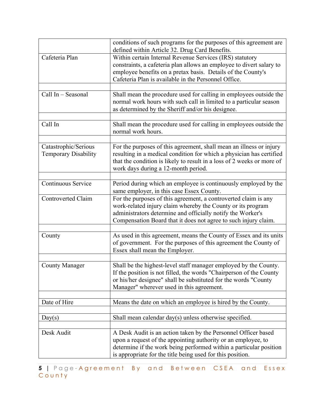|                                                     | conditions of such programs for the purposes of this agreement are<br>defined within Article 32. Drug Card Benefits.                                                                                                                                                |
|-----------------------------------------------------|---------------------------------------------------------------------------------------------------------------------------------------------------------------------------------------------------------------------------------------------------------------------|
| Cafeteria Plan                                      | Within certain Internal Revenue Services (IRS) statutory<br>constraints, a cafeteria plan allows an employee to divert salary to<br>employee benefits on a pretax basis. Details of the County's<br>Cafeteria Plan is available in the Personnel Office.            |
| Call In - Seasonal                                  | Shall mean the procedure used for calling in employees outside the<br>normal work hours with such call in limited to a particular season<br>as determined by the Sheriff and/or his designee.                                                                       |
| Call In                                             | Shall mean the procedure used for calling in employees outside the<br>normal work hours.                                                                                                                                                                            |
| Catastrophic/Serious<br><b>Temporary Disability</b> | For the purposes of this agreement, shall mean an illness or injury<br>resulting in a medical condition for which a physician has certified<br>that the condition is likely to result in a loss of 2 weeks or more of<br>work days during a 12-month period.        |
| Continuous Service                                  | Period during which an employee is continuously employed by the<br>same employer, in this case Essex County.                                                                                                                                                        |
| <b>Controverted Claim</b>                           | For the purposes of this agreement, a controverted claim is any<br>work-related injury claim whereby the County or its program<br>administrators determine and officially notify the Worker's<br>Compensation Board that it does not agree to such injury claim.    |
| County                                              | As used in this agreement, means the County of Essex and its units<br>of government. For the purposes of this agreement the County of<br>Essex shall mean the Employer.                                                                                             |
| <b>County Manager</b>                               | Shall be the highest-level staff manager employed by the County.<br>If the position is not filled, the words "Chairperson of the County<br>or his/her designee" shall be substituted for the words "County<br>Manager" wherever used in this agreement.             |
| Date of Hire                                        | Means the date on which an employee is hired by the County.                                                                                                                                                                                                         |
| Day(s)                                              | Shall mean calendar day(s) unless otherwise specified.                                                                                                                                                                                                              |
| Desk Audit                                          | A Desk Audit is an action taken by the Personnel Officer based<br>upon a request of the appointing authority or an employee, to<br>determine if the work being performed within a particular position<br>is appropriate for the title being used for this position. |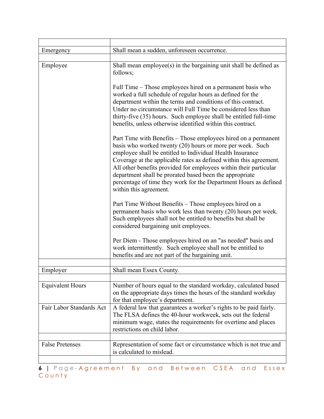| Emergency                | Shall mean a sudden, unforeseen occurrence.                                                                                                                                                                                                                                                                                                                                                                                                                                                  |
|--------------------------|----------------------------------------------------------------------------------------------------------------------------------------------------------------------------------------------------------------------------------------------------------------------------------------------------------------------------------------------------------------------------------------------------------------------------------------------------------------------------------------------|
|                          |                                                                                                                                                                                                                                                                                                                                                                                                                                                                                              |
| Employee                 | Shall mean employee(s) in the bargaining unit shall be defined as<br>follows;                                                                                                                                                                                                                                                                                                                                                                                                                |
|                          | Full Time – Those employees hired on a permanent basis who<br>worked a full schedule of regular hours as defined for the<br>department within the terms and conditions of this contract.<br>Under no circumstance will Full Time be considered less than<br>thirty-five (35) hours. Such employee shall be entitled full-time<br>benefits, unless otherwise identified within this contract.                                                                                                 |
|                          | Part Time with Benefits – Those employees hired on a permanent<br>basis who worked twenty (20) hours or more per week. Such<br>employee shall be entitled to Individual Health Insurance<br>Coverage at the applicable rates as defined within this agreement.<br>All other benefits provided for employees within their particular<br>department shall be prorated based been the appropriate<br>percentage of time they work for the Department Hours as defined<br>within this agreement. |
|                          | Part Time Without Benefits – Those employees hired on a<br>permanent basis who work less than twenty (20) hours per week.<br>Such employees shall not be entitled to benefits but shall be<br>considered bargaining unit employees.                                                                                                                                                                                                                                                          |
|                          | Per Diem - Those employees hired on an "as needed" basis and<br>work intermittently. Such employee shall not be entitled to<br>benefits and are not part of the bargaining unit.                                                                                                                                                                                                                                                                                                             |
|                          |                                                                                                                                                                                                                                                                                                                                                                                                                                                                                              |
| Employer                 | Shall mean Essex County.                                                                                                                                                                                                                                                                                                                                                                                                                                                                     |
| <b>Equivalent Hours</b>  | Number of hours equal to the standard workday, calculated based<br>on the appropriate days times the hours of the standard workday<br>for that employee's department.                                                                                                                                                                                                                                                                                                                        |
| Fair Labor Standards Act | A federal law that guarantees a worker's rights to be paid fairly.<br>The FLSA defines the 40-hour workweek, sets out the federal<br>minimum wage, states the requirements for overtime and places<br>restrictions on child labor.                                                                                                                                                                                                                                                           |
|                          |                                                                                                                                                                                                                                                                                                                                                                                                                                                                                              |
| <b>False Pretenses</b>   | Representation of some fact or circumstance which is not true and<br>is calculated to mislead.                                                                                                                                                                                                                                                                                                                                                                                               |
|                          |                                                                                                                                                                                                                                                                                                                                                                                                                                                                                              |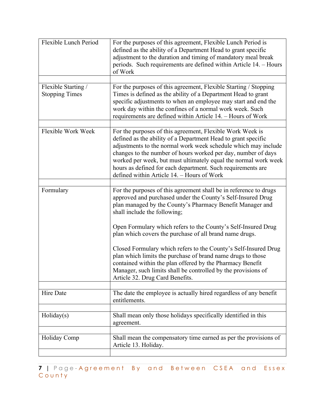| Flexible Lunch Period                        | For the purposes of this agreement, Flexible Lunch Period is<br>defined as the ability of a Department Head to grant specific<br>adjustment to the duration and timing of mandatory meal break<br>periods. Such requirements are defined within Article 14. – Hours<br>of Work                                                                                                                                                                |
|----------------------------------------------|-----------------------------------------------------------------------------------------------------------------------------------------------------------------------------------------------------------------------------------------------------------------------------------------------------------------------------------------------------------------------------------------------------------------------------------------------|
|                                              |                                                                                                                                                                                                                                                                                                                                                                                                                                               |
| Flexible Starting /<br><b>Stopping Times</b> | For the purposes of this agreement, Flexible Starting / Stopping<br>Times is defined as the ability of a Department Head to grant<br>specific adjustments to when an employee may start and end the<br>work day within the confines of a normal work week. Such<br>requirements are defined within Article 14. - Hours of Work                                                                                                                |
|                                              |                                                                                                                                                                                                                                                                                                                                                                                                                                               |
| Flexible Work Week                           | For the purposes of this agreement, Flexible Work Week is<br>defined as the ability of a Department Head to grant specific<br>adjustments to the normal work week schedule which may include<br>changes to the number of hours worked per day, number of days<br>worked per week, but must ultimately equal the normal work week<br>hours as defined for each department. Such requirements are<br>defined within Article 14. - Hours of Work |
|                                              |                                                                                                                                                                                                                                                                                                                                                                                                                                               |
| Formulary                                    | For the purposes of this agreement shall be in reference to drugs<br>approved and purchased under the County's Self-Insured Drug<br>plan managed by the County's Pharmacy Benefit Manager and<br>shall include the following;                                                                                                                                                                                                                 |
|                                              | Open Formulary which refers to the County's Self-Insured Drug<br>plan which covers the purchase of all brand name drugs.                                                                                                                                                                                                                                                                                                                      |
|                                              | Closed Formulary which refers to the County's Self-Insured Drug<br>plan which limits the purchase of brand name drugs to those<br>contained within the plan offered by the Pharmacy Benefit<br>Manager, such limits shall be controlled by the provisions of<br>Article 32. Drug Card Benefits.                                                                                                                                               |
|                                              |                                                                                                                                                                                                                                                                                                                                                                                                                                               |
| Hire Date                                    | The date the employee is actually hired regardless of any benefit<br>entitlements.                                                                                                                                                                                                                                                                                                                                                            |
|                                              |                                                                                                                                                                                                                                                                                                                                                                                                                                               |
| Holiday(s)                                   | Shall mean only those holidays specifically identified in this<br>agreement.                                                                                                                                                                                                                                                                                                                                                                  |
|                                              |                                                                                                                                                                                                                                                                                                                                                                                                                                               |
| Holiday Comp                                 | Shall mean the compensatory time earned as per the provisions of<br>Article 13. Holiday.                                                                                                                                                                                                                                                                                                                                                      |
|                                              |                                                                                                                                                                                                                                                                                                                                                                                                                                               |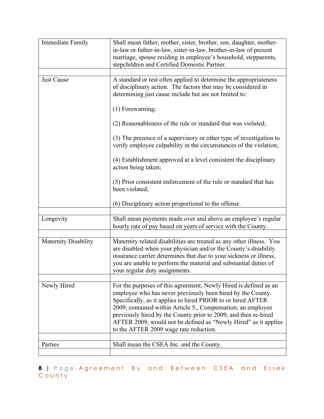| <b>Immediate Family</b>     | Shall mean father, mother, sister, brother, son, daughter, mother-<br>in-law or father-in-law, sister-in-law, brother-in-law of present<br>marriage, spouse residing in employee's household, stepparents,<br>stepchildren and Certified Domestic Partner.                                                                                                                                                                                                                                                                                                                                                          |
|-----------------------------|---------------------------------------------------------------------------------------------------------------------------------------------------------------------------------------------------------------------------------------------------------------------------------------------------------------------------------------------------------------------------------------------------------------------------------------------------------------------------------------------------------------------------------------------------------------------------------------------------------------------|
|                             |                                                                                                                                                                                                                                                                                                                                                                                                                                                                                                                                                                                                                     |
| Just Cause                  | A standard or test often applied to determine the appropriateness<br>of disciplinary action. The factors that may be considered in<br>determining just cause include but are not limited to:<br>$(1)$ Forewarning;<br>(2) Reasonableness of the rule or standard that was violated;<br>(3) The presence of a supervisory or other type of investigation to<br>verify employee culpability in the circumstances of the violation;<br>(4) Establishment approved at a level consistent the disciplinary<br>action being taken;<br>(5) Prior consistent enforcement of the rule or standard that has<br>been violated; |
|                             | (6) Disciplinary action proportional to the offense.                                                                                                                                                                                                                                                                                                                                                                                                                                                                                                                                                                |
|                             |                                                                                                                                                                                                                                                                                                                                                                                                                                                                                                                                                                                                                     |
| Longevity                   | Shall mean payments made over and above an employee's regular<br>hourly rate of pay based on years of service with the County.                                                                                                                                                                                                                                                                                                                                                                                                                                                                                      |
|                             |                                                                                                                                                                                                                                                                                                                                                                                                                                                                                                                                                                                                                     |
| <b>Maternity Disability</b> | Maternity related disabilities are treated as any other illness. You<br>are disabled when your physician and/or the County's disability<br>insurance carrier determines that due to your sickness or illness,<br>you are unable to perform the material and substantial duties of<br>your regular duty assignments.                                                                                                                                                                                                                                                                                                 |
|                             |                                                                                                                                                                                                                                                                                                                                                                                                                                                                                                                                                                                                                     |
| Newly Hired                 | For the purposes of this agreement, Newly Hired is defined as an<br>employee who has never previously been hired by the County.<br>Specifically, as it applies to hired PRIOR to or hired AFTER<br>2009, contained within Article 5., Compensation; an employee<br>previously hired by the County prior to 2009, and then re-hired<br>AFTER 2009, would not be defined as "Newly Hired" as it applies<br>to the AFTER 2009 wage rate reduction.                                                                                                                                                                     |
| Parties                     | Shall mean the CSEA Inc. and the County.                                                                                                                                                                                                                                                                                                                                                                                                                                                                                                                                                                            |
|                             |                                                                                                                                                                                                                                                                                                                                                                                                                                                                                                                                                                                                                     |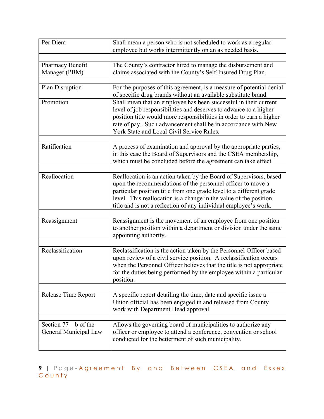| Per Diem                                         | Shall mean a person who is not scheduled to work as a regular<br>employee but works intermittently on an as needed basis.                                                                                                                                                                                                                         |
|--------------------------------------------------|---------------------------------------------------------------------------------------------------------------------------------------------------------------------------------------------------------------------------------------------------------------------------------------------------------------------------------------------------|
|                                                  |                                                                                                                                                                                                                                                                                                                                                   |
| Pharmacy Benefit<br>Manager (PBM)                | The County's contractor hired to manage the disbursement and<br>claims associated with the County's Self-Insured Drug Plan.                                                                                                                                                                                                                       |
|                                                  |                                                                                                                                                                                                                                                                                                                                                   |
| Plan Disruption                                  | For the purposes of this agreement, is a measure of potential denial<br>of specific drug brands without an available substitute brand.                                                                                                                                                                                                            |
| Promotion                                        | Shall mean that an employee has been successful in their current<br>level of job responsibilities and deserves to advance to a higher<br>position title would more responsibilities in order to earn a higher<br>rate of pay. Such advancement shall be in accordance with New<br>York State and Local Civil Service Rules.                       |
|                                                  |                                                                                                                                                                                                                                                                                                                                                   |
| Ratification                                     | A process of examination and approval by the appropriate parties,<br>in this case the Board of Supervisors and the CSEA membership,<br>which must be concluded before the agreement can take effect.                                                                                                                                              |
|                                                  |                                                                                                                                                                                                                                                                                                                                                   |
| Reallocation                                     | Reallocation is an action taken by the Board of Supervisors, based<br>upon the recommendations of the personnel officer to move a<br>particular position title from one grade level to a different grade<br>level. This reallocation is a change in the value of the position<br>title and is not a reflection of any individual employee's work. |
|                                                  |                                                                                                                                                                                                                                                                                                                                                   |
| Reassignment                                     | Reassignment is the movement of an employee from one position<br>to another position within a department or division under the same<br>appointing authority.                                                                                                                                                                                      |
|                                                  |                                                                                                                                                                                                                                                                                                                                                   |
| Reclassification                                 | Reclassification is the action taken by the Personnel Officer based<br>upon review of a civil service position. A reclassification occurs<br>when the Personnel Officer believes that the title is not appropriate<br>for the duties being performed by the employee within a particular<br>position.                                             |
|                                                  |                                                                                                                                                                                                                                                                                                                                                   |
| Release Time Report                              | A specific report detailing the time, date and specific issue a<br>Union official has been engaged in and released from County<br>work with Department Head approval.                                                                                                                                                                             |
|                                                  |                                                                                                                                                                                                                                                                                                                                                   |
| Section $77 - b$ of the<br>General Municipal Law | Allows the governing board of municipalities to authorize any<br>officer or employee to attend a conference, convention or school<br>conducted for the betterment of such municipality.                                                                                                                                                           |
|                                                  |                                                                                                                                                                                                                                                                                                                                                   |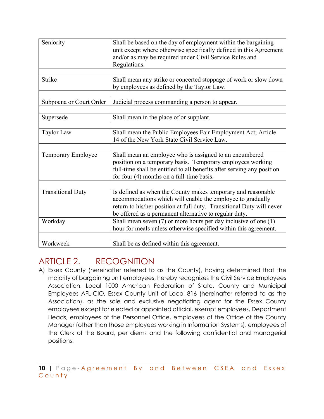| Seniority                | Shall be based on the day of employment within the bargaining<br>unit except where otherwise specifically defined in this Agreement<br>and/or as may be required under Civil Service Rules and<br>Regulations.                                                |
|--------------------------|---------------------------------------------------------------------------------------------------------------------------------------------------------------------------------------------------------------------------------------------------------------|
|                          |                                                                                                                                                                                                                                                               |
| <b>Strike</b>            | Shall mean any strike or concerted stoppage of work or slow down<br>by employees as defined by the Taylor Law.                                                                                                                                                |
|                          |                                                                                                                                                                                                                                                               |
| Subpoena or Court Order  | Judicial process commanding a person to appear.                                                                                                                                                                                                               |
|                          |                                                                                                                                                                                                                                                               |
| Supersede                | Shall mean in the place of or supplant.                                                                                                                                                                                                                       |
|                          |                                                                                                                                                                                                                                                               |
| Taylor Law               | Shall mean the Public Employees Fair Employment Act; Article<br>14 of the New York State Civil Service Law.                                                                                                                                                   |
|                          |                                                                                                                                                                                                                                                               |
| Temporary Employee       | Shall mean an employee who is assigned to an encumbered<br>position on a temporary basis. Temporary employees working<br>full-time shall be entitled to all benefits after serving any position<br>for four $(4)$ months on a full-time basis.                |
|                          |                                                                                                                                                                                                                                                               |
| <b>Transitional Duty</b> | Is defined as when the County makes temporary and reasonable<br>accommodations which will enable the employee to gradually<br>return to his/her position at full duty. Transitional Duty will never<br>be offered as a permanent alternative to regular duty. |
| Workday                  | Shall mean seven $(7)$ or more hours per day inclusive of one $(1)$                                                                                                                                                                                           |
|                          | hour for meals unless otherwise specified within this agreement.                                                                                                                                                                                              |
|                          |                                                                                                                                                                                                                                                               |
| Workweek                 | Shall be as defined within this agreement.                                                                                                                                                                                                                    |

#### ARTICLE 2. RECOGNITION

A) Essex County (hereinafter referred to as the County), having determined that the majority of bargaining unit employees, hereby recognizes the Civil Service Employees Association, Local 1000 American Federation of State, County and Municipal Employees AFL-CIO, Essex County Unit of Local 816 (hereinafter referred to as the Association), as the sole and exclusive negotiating agent for the Essex County employees except for elected or appointed official, exempt employees, Department Heads, employees of the Personnel Office, employees of the Office of the County Manager (other than those employees working in Information Systems), employees of the Clerk of the Board, per diems and the following confidential and managerial positions: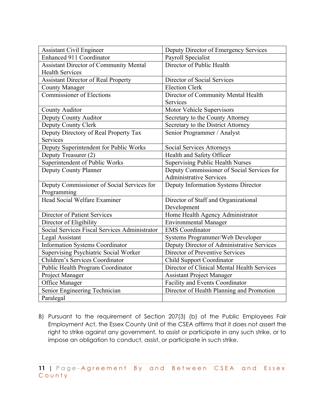| <b>Assistant Civil Engineer</b>               | Deputy Director of Emergency Services       |
|-----------------------------------------------|---------------------------------------------|
| Enhanced 911 Coordinator                      | Payroll Specialist                          |
| <b>Assistant Director of Community Mental</b> | Director of Public Health                   |
| <b>Health Services</b>                        |                                             |
| <b>Assistant Director of Real Property</b>    | Director of Social Services                 |
| <b>County Manager</b>                         | <b>Election Clerk</b>                       |
| <b>Commissioner of Elections</b>              | Director of Community Mental Health         |
|                                               | Services                                    |
| County Auditor                                | Motor Vehicle Supervisors                   |
| Deputy County Auditor                         | Secretary to the County Attorney            |
| Deputy County Clerk                           | Secretary to the District Attorney          |
| Deputy Directory of Real Property Tax         | Senior Programmer / Analyst                 |
| <b>Services</b>                               |                                             |
| Deputy Superintendent for Public Works        | <b>Social Services Attorneys</b>            |
| Deputy Treasurer (2)                          | Health and Safety Officer                   |
| Superintendent of Public Works                | <b>Supervising Public Health Nurses</b>     |
| Deputy County Planner                         | Deputy Commissioner of Social Services for  |
|                                               | <b>Administrative Services</b>              |
| Deputy Commissioner of Social Services for    | Deputy Information Systems Director         |
| Programming                                   |                                             |
| Head Social Welfare Examiner                  | Director of Staff and Organizational        |
|                                               | Development                                 |
| <b>Director of Patient Services</b>           | Home Health Agency Administrator            |
| Director of Eligibility                       | <b>Environmental Manager</b>                |
| Social Services Fiscal Services Administrator | <b>EMS</b> Coordinator                      |
| Legal Assistant                               | Systems Programmer/Web Developer            |
| <b>Information Systems Coordinator</b>        | Deputy Director of Administrative Services  |
| <b>Supervising Psychiatric Social Worker</b>  | Director of Preventive Services             |
| Children's Services Coordinator               | Child Support Coordinator                   |
| Public Health Program Coordinator             | Director of Clinical Mental Health Services |
| Project Manager                               | <b>Assistant Project Manager</b>            |
| Office Manager                                | Facility and Events Coordinator             |
| Senior Engineering Technician                 | Director of Health Planning and Promotion   |
| Paralegal                                     |                                             |

B) Pursuant to the requirement of Section 207(3) (b) of the Public Employees Fair Employment Act, the Essex County Unit of the CSEA affirms that it does not assert the right to strike against any government, to assist or participate in any such strike, or to impose an obligation to conduct, assist, or participate in such strike.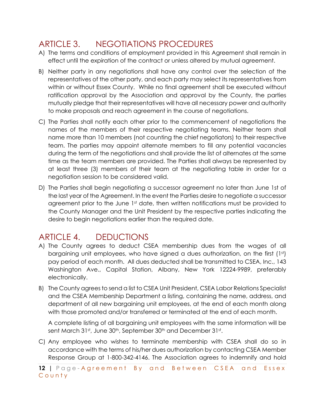## ARTICLE 3. NEGOTIATIONS PROCEDURES

- A) The terms and conditions of employment provided in this Agreement shall remain in effect until the expiration of the contract or unless altered by mutual agreement.
- B) Neither party in any negotiations shall have any control over the selection of the representatives of the other party, and each party may select its representatives from within or without Essex County. While no final agreement shall be executed without ratification approval by the Association and approval by the County, the parties mutually pledge that their representatives will have all necessary power and authority to make proposals and reach agreement in the course of negotiations.
- C) The Parties shall notify each other prior to the commencement of negotiations the names of the members of their respective negotiating teams. Neither team shall name more than 10 members (not counting the chief negotiators) to their respective team. The parties may appoint alternate members to fill any potential vacancies during the term of the negotiations and shall provide the list of alternates at the same time as the team members are provided. The Parties shall always be represented by at least three (3) members of their team at the negotiating table in order for a negotiation session to be considered valid.
- D) The Parties shall begin negotiating a successor agreement no later than June 1st of the last year of the Agreement. In the event the Parties desire to negotiate a successor agreement prior to the June 1st date, then written notifications must be provided to the County Manager and the Unit President by the respective parties indicating the desire to begin negotiations earlier than the required date.

## ARTICLE 4. DEDUCTIONS

- A) The County agrees to deduct CSEA membership dues from the wages of all bargaining unit employees, who have signed a dues authorization, on the first (1st) pay period of each month. All dues deducted shall be transmitted to CSEA, Inc., 143 Washington Ave., Capital Station, Albany, New York 12224-9989, preferably electronically.
- B) The County agrees to send a list to CSEA Unit President, CSEA Labor Relations Specialist and the CSEA Membership Department a listing, containing the name, address, and department of all new bargaining unit employees, at the end of each month along with those promoted and/or transferred or terminated at the end of each month.

A complete listing of all bargaining unit employees with the same information will be sent March 31st, June 30th, September 30th and December 31st.

C) Any employee who wishes to terminate membership with CSEA shall do so in accordance with the terms of his/her dues authorization by contacting CSEA Member Response Group at 1-800-342-4146. The Association agrees to indemnify and hold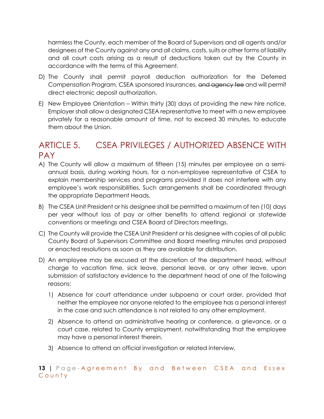harmless the County, each member of the Board of Supervisors and all agents and/or designees of the County against any and all claims, costs, suits or other forms of liability and all court costs arising as a result of deductions taken out by the County in accordance with the terms of this Agreement.

- D) The County shall permit payroll deduction authorization for the Deferred Compensation Program, CSEA sponsored insurances, and agency fee and will permit direct electronic deposit authorization.
- E) New Employee Orientation Within thirty (30) days of providing the new hire notice, Employer shall allow a designated CSEA representative to meet with a new employee privately for a reasonable amount of time, not to exceed 30 minutes, to educate them about the Union.

## ARTICLE 5. CSEA PRIVILEGES / AUTHORIZED ABSENCE WITH PAY

- A) The County will allow a maximum of fifteen (15) minutes per employee on a semiannual basis, during working hours, for a non-employee representative of CSEA to explain membership services and programs provided it does not interfere with any employee's work responsibilities. Such arrangements shall be coordinated through the appropriate Department Heads.
- B) The CSEA Unit President or his designee shall be permitted a maximum of ten (10) days per year without loss of pay or other benefits to attend regional or statewide conventions or meetings and CSEA Board of Directors meetings.
- C) The County will provide the CSEA Unit President or his designee with copies of all public County Board of Supervisors Committee and Board meeting minutes and proposed or enacted resolutions as soon as they are available for distribution.
- D) An employee may be excused at the discretion of the department head, without charge to vacation time, sick leave, personal leave, or any other leave, upon submission of satisfactory evidence to the department head of one of the following reasons:
	- 1) Absence for court attendance under subpoena or court order, provided that neither the employee nor anyone related to the employee has a personal interest in the case and such attendance is not related to any other employment.
	- 2) Absence to attend an administrative hearing or conference, a grievance, or a court case, related to County employment, notwithstanding that the employee may have a personal interest therein.
	- 3) Absence to attend an official investigation or related interview.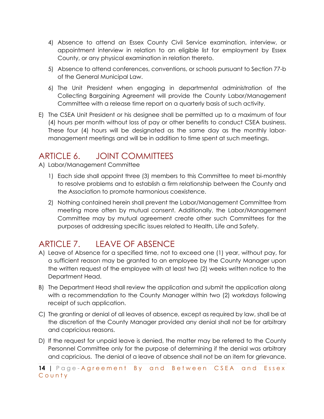- 4) Absence to attend an Essex County Civil Service examination, interview, or appointment interview in relation to an eligible list for employment by Essex County, or any physical examination in relation thereto.
- 5) Absence to attend conferences, conventions, or schools pursuant to Section 77-b of the General Municipal Law.
- 6) The Unit President when engaging in departmental administration of the Collecting Bargaining Agreement will provide the County Labor/Management Committee with a release time report on a quarterly basis of such activity.
- E) The CSEA Unit President or his designee shall be permitted up to a maximum of four (4) hours per month without loss of pay or other benefits to conduct CSEA business. These four (4) hours will be designated as the same day as the monthly labormanagement meetings and will be in addition to time spent at such meetings.

## ARTICLE 6. JOINT COMMITTEES

- A) Labor/Management Committee
	- 1) Each side shall appoint three (3) members to this Committee to meet bi-monthly to resolve problems and to establish a firm relationship between the County and the Association to promote harmonious coexistence.
	- 2) Nothing contained herein shall prevent the Labor/Management Committee from meeting more often by mutual consent. Additionally, the Labor/Management Committee may by mutual agreement create other such Committees for the purposes of addressing specific issues related to Health, Life and Safety.

## ARTICLE 7. LEAVE OF ABSENCE

- A) Leave of Absence for a specified time, not to exceed one (1) year, without pay, for a sufficient reason may be granted to an employee by the County Manager upon the written request of the employee with at least two (2) weeks written notice to the Department Head.
- B) The Department Head shall review the application and submit the application along with a recommendation to the County Manager within two (2) workdays following receipt of such application.
- C) The granting or denial of all leaves of absence, except as required by law, shall be at the discretion of the County Manager provided any denial shall not be for arbitrary and capricious reasons.
- D) If the request for unpaid leave is denied, the matter may be referred to the County Personnel Committee only for the purpose of determining if the denial was arbitrary and capricious. The denial of a leave of absence shall not be an item for grievance.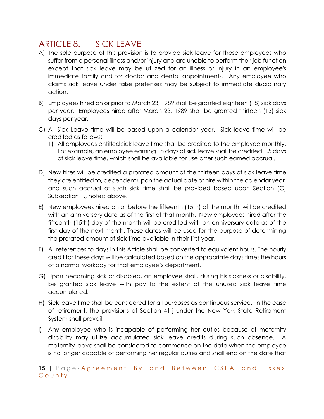### ARTICLE 8. SICK LEAVE

- A) The sole purpose of this provision is to provide sick leave for those employees who suffer from a personal illness and/or injury and are unable to perform their job function except that sick leave may be utilized for an illness or injury in an employee's immediate family and for doctor and dental appointments. Any employee who claims sick leave under false pretenses may be subject to immediate disciplinary action.
- B) Employees hired on or prior to March 23, 1989 shall be granted eighteen (18) sick days per year. Employees hired after March 23, 1989 shall be granted thirteen (13) sick days per year.
- C) All Sick Leave time will be based upon a calendar year. Sick leave time will be credited as follows;
	- 1) All employees entitled sick leave time shall be credited to the employee monthly. For example, an employee earning 18 days of sick leave shall be credited 1.5 days of sick leave time, which shall be available for use after such earned accrual.
- D) New hires will be credited a prorated amount of the thirteen days of sick leave time they are entitled to, dependent upon the actual date of hire within the calendar year, and such accrual of such sick time shall be provided based upon Section (C) Subsection 1., noted above.
- E) New employees hired on or before the fifteenth (15th) of the month, will be credited with an anniversary date as of the first of that month. New employees hired after the fifteenth (15th) day of the month will be credited with an anniversary date as of the first day of the next month. These dates will be used for the purpose of determining the prorated amount of sick time available in their first year.
- F) All references to days in this Article shall be converted to equivalent hours. The hourly credit for these days will be calculated based on the appropriate days times the hours of a normal workday for that employee's department.
- G) Upon becoming sick or disabled, an employee shall, during his sickness or disability, be granted sick leave with pay to the extent of the unused sick leave time accumulated.
- H) Sick leave time shall be considered for all purposes as continuous service. In the case of retirement, the provisions of Section 41-j under the New York State Retirement System shall prevail.
- I) Any employee who is incapable of performing her duties because of maternity disability may utilize accumulated sick leave credits during such absence. A maternity leave shall be considered to commence on the date when the employee is no longer capable of performing her regular duties and shall end on the date that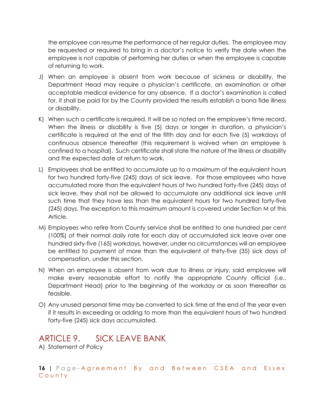the employee can resume the performance of her regular duties. The employee may be requested or required to bring in a doctor's notice to verify the date when the employee is not capable of performing her duties or when the employee is capable of returning to work.

- J) When an employee is absent from work because of sickness or disability, the Department Head may require a physician's certificate, an examination or other acceptable medical evidence for any absence. If a doctor's examination is called for, it shall be paid for by the County provided the results establish a bona fide illness or disability.
- K) When such a certificate is required, it will be so noted on the employee's time record. When the illness or disability is five (5) days or longer in duration, a physician's certificate is required at the end of the fifth day and for each five (5) workdays of continuous absence thereafter (this requirement is waived when an employee is confined to a hospital). Such certificate shall state the nature of the illness or disability and the expected date of return to work.
- L) Employees shall be entitled to accumulate up to a maximum of the equivalent hours for two hundred forty-five (245) days of sick leave. For those employees who have accumulated more than the equivalent hours of two hundred forty-five (245) days of sick leave, they shall not be allowed to accumulate any additional sick leave until such time that they have less than the equivalent hours for two hundred forty-five (245) days. The exception to this maximum amount is covered under Section M of this Article.
- M) Employees who retire from County service shall be entitled to one hundred per cent (100%) of their normal daily rate for each day of accumulated sick leave over one hundred sixty-five (165) workdays, however, under no circumstances will an employee be entitled to payment of more than the equivalent of thirty-five (35) sick days of compensation, under this section.
- N) When an employee is absent from work due to illness or injury, said employee will make every reasonable effort to notify the appropriate County official (i.e., Department Head) prior to the beginning of the workday or as soon thereafter as feasible.
- O) Any unused personal time may be converted to sick time at the end of the year even if it results in exceeding or adding to more than the equivalent hours of two hundred forty-five (245) sick days accumulated.

#### ARTICLE 9. SICK LEAVE BANK

A) Statement of Policy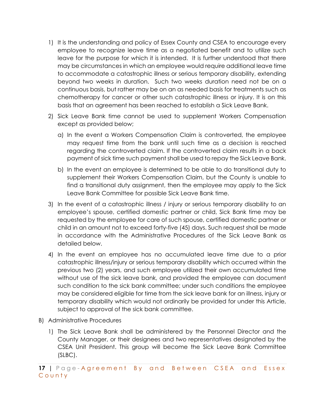- 1) It is the understanding and policy of Essex County and CSEA to encourage every employee to recognize leave time as a negotiated benefit and to utilize such leave for the purpose for which it is intended. It is further understood that there may be circumstances in which an employee would require additional leave time to accommodate a catastrophic illness or serious temporary disability, extending beyond two weeks in duration. Such two weeks duration need not be on a continuous basis, but rather may be on an as needed basis for treatments such as chemotherapy for cancer or other such catastrophic illness or injury. It is on this basis that an agreement has been reached to establish a Sick Leave Bank.
- 2) Sick Leave Bank time cannot be used to supplement Workers Compensation except as provided below;
	- a) In the event a Workers Compensation Claim is controverted, the employee may request time from the bank until such time as a decision is reached regarding the controverted claim. If the controverted claim results in a back payment of sick time such payment shall be used to repay the Sick Leave Bank.
	- b) In the event an employee is determined to be able to do transitional duty to supplement their Workers Compensation Claim, but the County is unable to find a transitional duty assignment, then the employee may apply to the Sick Leave Bank Committee for possible Sick Leave Bank time.
- 3) In the event of a catastrophic illness / injury or serious temporary disability to an employee's spouse, certified domestic partner or child, Sick Bank time may be requested by the employee for care of such spouse, certified domestic partner or child in an amount not to exceed forty-five (45) days. Such request shall be made in accordance with the Administrative Procedures of the Sick Leave Bank as detailed below.
- 4) In the event an employee has no accumulated leave time due to a prior catastrophic illness/injury or serious temporary disability which occurred within the previous two (2) years, and such employee utilized their own accumulated time without use of the sick leave bank, and provided the employee can document such condition to the sick bank committee; under such conditions the employee may be considered eligible for time from the sick leave bank for an illness, injury or temporary disability which would not ordinarily be provided for under this Article, subject to approval of the sick bank committee.
- B) Administrative Procedures
	- 1) The Sick Leave Bank shall be administered by the Personnel Director and the County Manager, or their designees and two representatives designated by the CSEA Unit President. This group will become the Sick Leave Bank Committee (SLBC).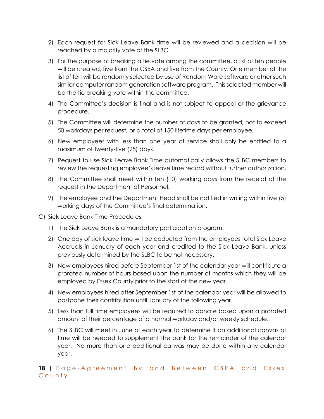- 2) Each request for Sick Leave Bank time will be reviewed and a decision will be reached by a majority vote of the SLBC.
- 3) For the purpose of breaking a tie vote among the committee, a list of ten people will be created, five from the CSEA and five from the County. One member of the list of ten will be randomly selected by use of Random Ware software or other such similar computer random generation software program. This selected member will be the tie breaking vote within the committee.
- 4) The Committee's decision is final and is not subject to appeal or the grievance procedure.
- 5) The Committee will determine the number of days to be granted, not to exceed 50 workdays per request, or a total of 150 lifetime days per employee.
- 6) New employees with less than one year of service shall only be entitled to a maximum of twenty-five (25) days.
- 7) Request to use Sick Leave Bank Time automatically allows the SLBC members to review the requesting employee's leave time record without further authorization.
- 8) The Committee shall meet within ten (10) working days from the receipt of the request in the Department of Personnel.
- 9) The employee and the Department Head shall be notified in writing within five (5) working days of the Committee's final determination.
- C) Sick Leave Bank Time Procedures
	- 1) The Sick Leave Bank is a mandatory participation program.
	- 2) One day of sick leave time will be deducted from the employees total Sick Leave Accruals in January of each year and credited to the Sick Leave Bank, unless previously determined by the SLBC to be not necessary.
	- 3) New employees hired before September 1st of the calendar year will contribute a prorated number of hours based upon the number of months which they will be employed by Essex County prior to the start of the new year.
	- 4) New employees hired after September 1st of the calendar year will be allowed to postpone their contribution until January of the following year.
	- 5) Less than full time employees will be required to donate based upon a prorated amount of their percentage of a normal workday and/or weekly schedule.
	- 6) The SLBC will meet in June of each year to determine if an additional canvas of time will be needed to supplement the bank for the remainder of the calendar year. No more than one additional canvas may be done within any calendar year.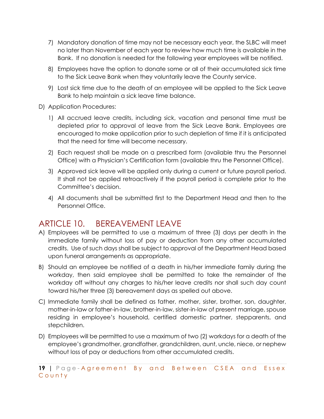- 7) Mandatory donation of time may not be necessary each year, the SLBC will meet no later than November of each year to review how much time is available in the Bank. If no donation is needed for the following year employees will be notified.
- 8) Employees have the option to donate some or all of their accumulated sick time to the Sick Leave Bank when they voluntarily leave the County service.
- 9) Lost sick time due to the death of an employee will be applied to the Sick Leave Bank to help maintain a sick leave time balance.
- D) Application Procedures:
	- 1) All accrued leave credits, including sick, vacation and personal time must be depleted prior to approval of leave from the Sick Leave Bank. Employees are encouraged to make application prior to such depletion of time if it is anticipated that the need for time will become necessary.
	- 2) Each request shall be made on a prescribed form (available thru the Personnel Office) with a Physician's Certification form (available thru the Personnel Office).
	- 3) Approved sick leave will be applied only during a current or future payroll period. It shall not be applied retroactively if the payroll period is complete prior to the Committee's decision.
	- 4) All documents shall be submitted first to the Department Head and then to the Personnel Office.

#### ARTICLE 10. BEREAVEMENT LEAVE

- A) Employees will be permitted to use a maximum of three (3) days per death in the immediate family without loss of pay or deduction from any other accumulated credits. Use of such days shall be subject to approval of the Department Head based upon funeral arrangements as appropriate.
- B) Should an employee be notified of a death in his/her immediate family during the workday, then said employee shall be permitted to take the remainder of the workday off without any charges to his/her leave credits nor shall such day count toward his/her three (3) bereavement days as spelled out above.
- C) Immediate family shall be defined as father, mother, sister, brother, son, daughter, mother-in-law or father-in-law, brother-in-law, sister-in-law of present marriage, spouse residing in employee's household, certified domestic partner, stepparents, and stepchildren.
- D) Employees will be permitted to use a maximum of two (2) workdays for a death of the employee's grandmother, grandfather, grandchildren, aunt, uncle, niece, or nephew without loss of pay or deductions from other accumulated credits.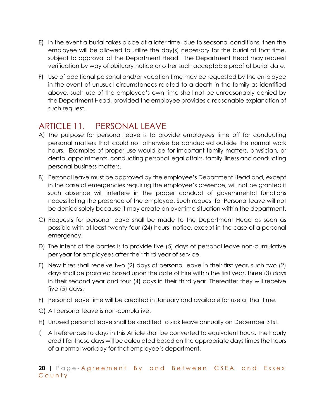- E) In the event a burial takes place at a later time, due to seasonal conditions, then the employee will be allowed to utilize the day(s) necessary for the burial at that time, subject to approval of the Department Head. The Department Head may request verification by way of obituary notice or other such acceptable proof of burial date.
- F) Use of additional personal and/or vacation time may be requested by the employee in the event of unusual circumstances related to a death in the family as identified above, such use of the employee's own time shall not be unreasonably denied by the Department Head, provided the employee provides a reasonable explanation of such request.

## ARTICLE 11. PERSONAL LEAVE

- A) The purpose for personal leave is to provide employees time off for conducting personal matters that could not otherwise be conducted outside the normal work hours. Examples of proper use would be for important family matters, physician, or dental appointments, conducting personal legal affairs, family illness and conducting personal business matters.
- B) Personal leave must be approved by the employee's Department Head and, except in the case of emergencies requiring the employee's presence, will not be granted if such absence will interfere in the proper conduct of governmental functions necessitating the presence of the employee. Such request for Personal leave will not be denied solely because it may create an overtime situation within the department.
- C) Requests for personal leave shall be made to the Department Head as soon as possible with at least twenty-four (24) hours' notice, except in the case of a personal emergency.
- D) The intent of the parties is to provide five (5) days of personal leave non-cumulative per year for employees after their third year of service.
- E) New hires shall receive two (2) days of personal leave in their first year, such two (2) days shall be prorated based upon the date of hire within the first year, three (3) days in their second year and four (4) days in their third year. Thereafter they will receive five (5) days.
- F) Personal leave time will be credited in January and available for use at that time.
- G) All personal leave is non-cumulative.
- H) Unused personal leave shall be credited to sick leave annually on December 31st.
- I) All references to days in this Article shall be converted to equivalent hours. The hourly credit for these days will be calculated based on the appropriate days times the hours of a normal workday for that employee's department.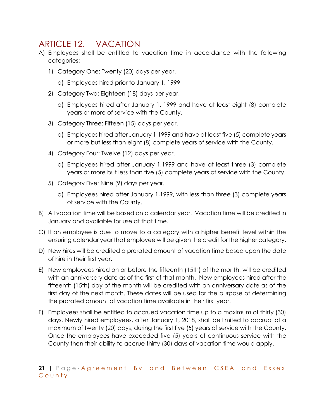#### ARTICLE 12. VACATION

- A) Employees shall be entitled to vacation time in accordance with the following categories:
	- 1) Category One: Twenty (20) days per year.
		- a) Employees hired prior to January 1, 1999
	- 2) Category Two: Eighteen (18) days per year.
		- a) Employees hired after January 1, 1999 and have at least eight (8) complete years or more of service with the County.
	- 3) Category Three: Fifteen (15) days per year.
		- a) Employees hired after January 1,1999 and have at least five (5) complete years or more but less than eight (8) complete years of service with the County.
	- 4) Category Four: Twelve (12) days per year.
		- a) Employees hired after January 1,1999 and have at least three (3) complete years or more but less than five (5) complete years of service with the County.
	- 5) Category Five: Nine (9) days per year.
		- a) Employees hired after January 1,1999, with less than three (3) complete years of service with the County.
- B) All vacation time will be based on a calendar year. Vacation time will be credited in January and available for use at that time.
- C) If an employee is due to move to a category with a higher benefit level within the ensuring calendar year that employee will be given the credit for the higher category.
- D) New hires will be credited a prorated amount of vacation time based upon the date of hire in their first year.
- E) New employees hired on or before the fifteenth (15th) of the month, will be credited with an anniversary date as of the first of that month. New employees hired after the fifteenth (15th) day of the month will be credited with an anniversary date as of the first day of the next month. These dates will be used for the purpose of determining the prorated amount of vacation time available in their first year.
- F) Employees shall be entitled to accrued vacation time up to a maximum of thirty (30) days. Newly hired employees, after January 1, 2018, shall be limited to accrual of a maximum of twenty (20) days, during the first five (5) years of service with the County. Once the employees have exceeded five (5) years of continuous service with the County then their ability to accrue thirty (30) days of vacation time would apply.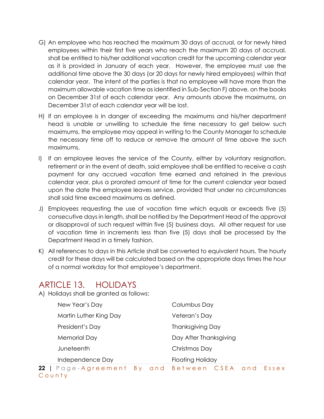- G) An employee who has reached the maximum 30 days of accrual, or for newly hired employees within their first five years who reach the maximum 20 days of accrual, shall be entitled to his/her additional vacation credit for the upcoming calendar year as it is provided in January of each year. However, the employee must use the additional time above the 30 days (or 20 days for newly hired employees) within that calendar year. The intent of the parties is that no employee will have more than the maximum allowable vacation time as identified in Sub-Section F) above, on the books on December 31st of each calendar year. Any amounts above the maximums, on December 31st of each calendar year will be lost.
- H) If an employee is in danger of exceeding the maximums and his/her department head is unable or unwilling to schedule the time necessary to get below such maximums, the employee may appeal in writing to the County Manager to schedule the necessary time off to reduce or remove the amount of time above the such maximums.
- I) If an employee leaves the service of the County, either by voluntary resignation, retirement or in the event of death, said employee shall be entitled to receive a cash payment for any accrued vacation time earned and retained in the previous calendar year, plus a prorated amount of time for the current calendar year based upon the date the employee leaves service, provided that under no circumstances shall said time exceed maximums as defined.
- J) Employees requesting the use of vacation time which equals or exceeds five (5) consecutive days in length, shall be notified by the Department Head of the approval or disapproval of such request within five (5) business days. All other request for use of vacation time in increments less than five (5) days shall be processed by the Department Head in a timely fashion.
- K) All references to days in this Article shall be converted to equivalent hours. The hourly credit for these days will be calculated based on the appropriate days times the hour of a normal workday for that employee's department.

#### ARTICLE 13. HOLIDAYS

A) Holidays shall be granted as follows:

| New Year's Day         | Columbus Day            |
|------------------------|-------------------------|
| Martin Luther King Day | Veteran's Day           |
| President's Day        | <b>Thanksgiving Day</b> |
| Memorial Day           | Day After Thanksgiving  |
| Juneteenth             | Christmas Day           |
| Independence Day       | <b>Floating Holiday</b> |
| $\sim$ $\sim$ $\sim$   |                         |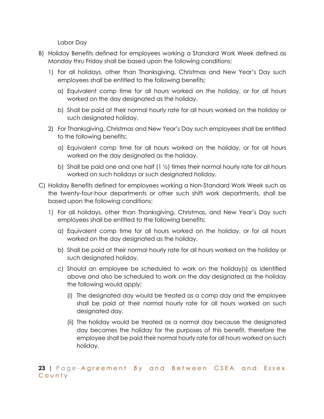Labor Day

- B) Holiday Benefits defined for employees working a Standard Work Week defined as Monday thru Friday shall be based upon the following conditions:
	- 1) For all holidays, other than Thanksgiving, Christmas and New Year's Day such employees shall be entitled to the following benefits;
		- a) Equivalent comp time for all hours worked on the holiday, or for all hours worked on the day designated as the holiday.
		- b) Shall be paid at their normal hourly rate for all hours worked on the holiday or such designated holiday.
	- 2) For Thanksgiving, Christmas and New Year's Day such employees shall be entitled to the following benefits;
		- a) Equivalent comp time for all hours worked on the holiday, or for all hours worked on the day designated as the holiday.
		- b) Shall be paid one and one half  $(1 \frac{1}{2})$  times their normal hourly rate for all hours worked on such holidays or such designated holiday.
- C) Holiday Benefits defined for employees working a Non-Standard Work Week such as the twenty-four-hour departments or other such shift work departments, shall be based upon the following conditions:
	- 1) For all holidays, other than Thanksgiving, Christmas, and New Year's Day such employees shall be entitled to the following benefits;
		- a) Equivalent comp time for all hours worked on the holiday, or for all hours worked on the day designated as the holiday.
		- b) Shall be paid at their normal hourly rate for all hours worked on the holiday or such designated holiday.
		- c) Should an employee be scheduled to work on the holiday(s) as identified above and also be scheduled to work on the day designated as the holiday the following would apply;
			- (i) The designated day would be treated as a comp day and the employee shall be paid at their normal hourly rate for all hours worked on such designated day.
			- (ii) The holiday would be treated as a normal day because the designated day becomes the holiday for the purposes of this benefit, therefore the employee shall be paid their normal hourly rate for all hours worked on such holiday.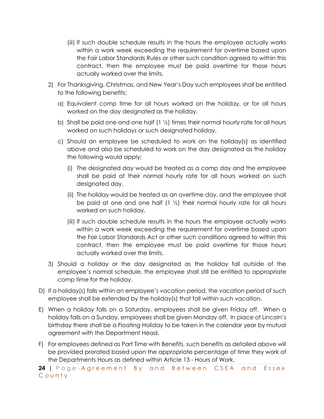- (iii) If such double schedule results in the hours the employee actually works within a work week exceeding the requirement for overtime based upon the Fair Labor Standards Rules or other such condition agreed to within this contract, then the employee must be paid overtime for those hours actually worked over the limits.
- 2) For Thanksgiving, Christmas, and New Year's Day such employees shall be entitled to the following benefits;
	- a) Equivalent comp time for all hours worked on the holiday, or for all hours worked on the day designated as the holiday.
	- b) Shall be paid one and one half  $(1 \frac{1}{2})$  times their normal hourly rate for all hours worked on such holidays or such designated holiday.
	- c) Should an employee be scheduled to work on the holiday(s) as identified above and also be scheduled to work on the day designated as the holiday the following would apply;
		- (i) The designated day would be treated as a comp day and the employee shall be paid at their normal hourly rate for all hours worked on such designated day.
		- (ii) The holiday would be treated as an overtime day, and the employee shall be paid at one and one half  $(1 \frac{1}{2})$  their normal hourly rate for all hours worked on such holiday.
		- (iii) If such double schedule results in the hours the employee actually works within a work week exceeding the requirement for overtime based upon the Fair Labor Standards Act or other such conditions agreed to within this contract, then the employee must be paid overtime for those hours actually worked over the limits.
- 3) Should a holiday or the day designated as the holiday fall outside of the employee's normal schedule, the employee shall still be entitled to appropriate comp time for the holiday.
- D) If a holiday(s) falls within an employee's vacation period, the vacation period of such employee shall be extended by the holiday(s) that fall within such vacation.
- E) When a holiday falls on a Saturday, employees shall be given Friday off. When a holiday falls on a Sunday, employees shall be given Monday off. In place of Lincoln's birthday there shall be a Floating Holiday to be taken in the calendar year by mutual agreement with the Department Head.
- F) For employees defined as Part Time with Benefits, such benefits as detailed above will be provided prorated based upon the appropriate percentage of time they work of the Departments Hours as defined within Article 13 - Hours of Work.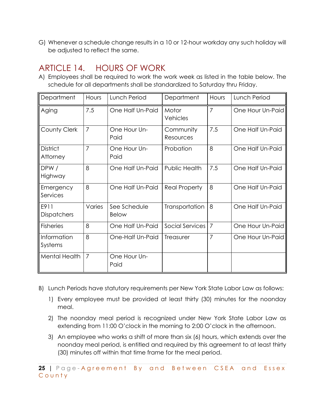G) Whenever a schedule change results in a 10 or 12-hour workday any such holiday will be adjusted to reflect the same.

## ARTICLE 14. HOURS OF WORK

A) Employees shall be required to work the work week as listed in the table below. The schedule for all departments shall be standardized to Saturday thru Friday.

| Department                  | Hours          | Lunch Period          | Department             | Hours          | Lunch Period     |
|-----------------------------|----------------|-----------------------|------------------------|----------------|------------------|
| Aging                       | 7.5            | One Half Un-Paid      | Motor<br>Vehicles      | 7              | One Hour Un-Paid |
| County Clerk                | $\overline{7}$ | One Hour Un-<br>Paid  | Community<br>Resources | 7.5            | One Half Un-Paid |
| <b>District</b><br>Attorney | $\overline{7}$ | One Hour Un-<br>Paid  | Probation              | 8              | One Half Un-Paid |
| DPW/<br>Highway             | 8              | One Half Un-Paid      | Public Health          | 7.5            | One Half Un-Paid |
| Emergency<br>Services       | 8              | One Half Un-Paid      | <b>Real Property</b>   | 8              | One Half Un-Paid |
| E911<br><b>Dispatchers</b>  | Varies         | See Schedule<br>Below | Transportation         | 8              | One Half Un-Paid |
| <b>Fisheries</b>            | 8              | One Half Un-Paid      | Social Services        | 7              | One Hour Un-Paid |
| Information<br>Systems      | 8              | One-Half Un-Paid      | Treasurer              | $\overline{7}$ | One Hour Un-Paid |
| Mental Health               | $\overline{7}$ | One Hour Un-<br>Paid  |                        |                |                  |

- B) Lunch Periods have statutory requirements per New York State Labor Law as follows:
	- 1) Every employee must be provided at least thirty (30) minutes for the noonday meal.
	- 2) The noonday meal period is recognized under New York State Labor Law as extending from 11:00 O'clock in the morning to 2:00 O'clock in the afternoon.
	- 3) An employee who works a shift of more than six (6) hours, which extends over the noonday meal period, is entitled and required by this agreement to at least thirty (30) minutes off within that time frame for the meal period.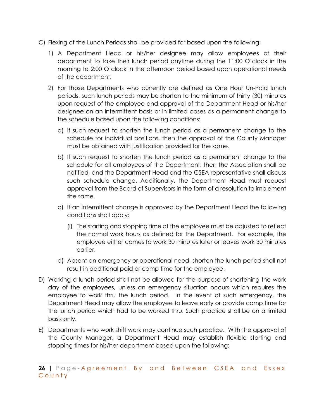- C) Flexing of the Lunch Periods shall be provided for based upon the following:
	- 1) A Department Head or his/her designee may allow employees of their department to take their lunch period anytime during the 11:00 O'clock in the morning to 2:00 O'clock in the afternoon period based upon operational needs of the department.
	- 2) For those Departments who currently are defined as One Hour Un-Paid lunch periods, such lunch periods may be shorten to the minimum of thirty (30) minutes upon request of the employee and approval of the Department Head or his/her designee on an intermittent basis or in limited cases as a permanent change to the schedule based upon the following conditions:
		- a) If such request to shorten the lunch period as a permanent change to the schedule for individual positions, then the approval of the County Manager must be obtained with justification provided for the same.
		- b) If such request to shorten the lunch period as a permanent change to the schedule for all employees of the Department, then the Association shall be notified, and the Department Head and the CSEA representative shall discuss such schedule change. Additionally, the Department Head must request approval from the Board of Supervisors in the form of a resolution to implement the same.
		- c) If an intermittent change is approved by the Department Head the following conditions shall apply:
			- (i) The starting and stopping time of the employee must be adjusted to reflect the normal work hours as defined for the Department. For example, the employee either comes to work 30 minutes later or leaves work 30 minutes earlier.
		- d) Absent an emergency or operational need, shorten the lunch period shall not result in additional paid or comp time for the employee.
- D) Working a lunch period shall not be allowed for the purpose of shortening the work day of the employees, unless an emergency situation occurs which requires the employee to work thru the lunch period. In the event of such emergency, the Department Head may allow the employee to leave early or provide comp time for the lunch period which had to be worked thru. Such practice shall be on a limited basis only.
- E) Departments who work shift work may continue such practice. With the approval of the County Manager, a Department Head may establish flexible starting and stopping times for his/her department based upon the following: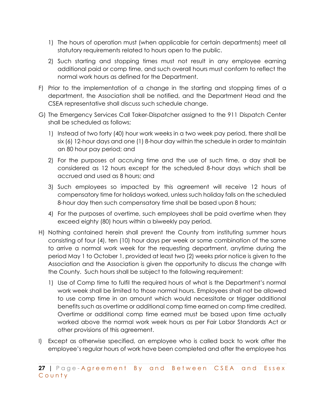- 1) The hours of operation must (when applicable for certain departments) meet all statutory requirements related to hours open to the public.
- 2) Such starting and stopping times must not result in any employee earning additional paid or comp time, and such overall hours must conform to reflect the normal work hours as defined for the Department.
- F) Prior to the implementation of a change in the starting and stopping times of a department, the Association shall be notified, and the Department Head and the CSEA representative shall discuss such schedule change.
- G) The Emergency Services Call Taker-Dispatcher assigned to the 911 Dispatch Center shall be scheduled as follows;
	- 1) Instead of two forty (40) hour work weeks in a two week pay period, there shall be six (6) 12-hour days and one (1) 8-hour day within the schedule in order to maintain an 80 hour pay period; and
	- 2) For the purposes of accruing time and the use of such time, a day shall be considered as 12 hours except for the scheduled 8-hour days which shall be accrued and used as 8 hours; and
	- 3) Such employees so impacted by this agreement will receive 12 hours of compensatory time for holidays worked, unless such holiday falls on the scheduled 8-hour day then such compensatory time shall be based upon 8 hours;
	- 4) For the purposes of overtime, such employees shall be paid overtime when they exceed eighty (80) hours within a biweekly pay period.
- H) Nothing contained herein shall prevent the County from instituting summer hours consisting of four (4), ten (10) hour days per week or some combination of the same to arrive a normal work week for the requesting department, anytime during the period May 1 to October 1, provided at least two (2) weeks prior notice is given to the Association and the Association is given the opportunity to discuss the change with the County. Such hours shall be subject to the following requirement:
	- 1) Use of Comp time to fulfil the required hours of what is the Department's normal work week shall be limited to those normal hours. Employees shall not be allowed to use comp time in an amount which would necessitate or trigger additional benefits such as overtime or additional comp time earned on comp time credited. Overtime or additional comp time earned must be based upon time actually worked above the normal work week hours as per Fair Labor Standards Act or other provisions of this agreement.
- I) Except as otherwise specified, an employee who is called back to work after the employee's regular hours of work have been completed and after the employee has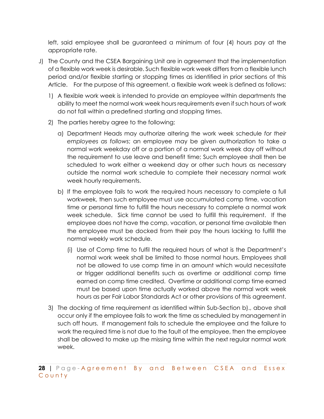left, said employee shall be guaranteed a minimum of four (4) hours pay at the appropriate rate.

- J) The County and the CSEA Bargaining Unit are in agreement that the implementation of a flexible work week is desirable. Such flexible work week differs from a flexible lunch period and/or flexible starting or stopping times as identified in prior sections of this Article. For the purpose of this agreement, a flexible work week is defined as follows:
	- 1) A flexible work week is intended to provide an employee within departments the ability to meet the normal work week hours requirements even if such hours of work do not fall within a predefined starting and stopping times.
	- 2) The parties hereby agree to the following;
		- a) Department Heads may authorize altering the work week schedule *for their employees as follows*; an employee may be given authorization to take a normal work weekday off or a portion of a normal work week day off without the requirement to use leave and benefit time; Such employee shall then be scheduled to work either a weekend day or other such hours as necessary outside the normal work schedule to complete their necessary normal work week hourly requirements.
		- b) If the employee fails to work the required hours necessary to complete a full workweek, then such employee must use accumulated comp time, vacation time or personal time to fulfill the hours necessary to complete a normal work week schedule. Sick time cannot be used to fulfill this requirement. If the employee does not have the comp, vacation, or personal time available then the employee must be docked from their pay the hours lacking to fulfill the normal weekly work schedule.
			- (i) Use of Comp time to fulfil the required hours of what is the Department's normal work week shall be limited to those normal hours. Employees shall not be allowed to use comp time in an amount which would necessitate or trigger additional benefits such as overtime or additional comp time earned on comp time credited. Overtime or additional comp time earned must be based upon time actually worked above the normal work week hours as per Fair Labor Standards Act or other provisions of this agreement.
	- 3) The docking of time requirement as identified within Sub-Section b)., above shall occur only if the employee fails to work the time as scheduled by management in such off hours. If management fails to schedule the employee and the failure to work the required time is not due to the fault of the employee, then the employee shall be allowed to make up the missing time within the next regular normal work week.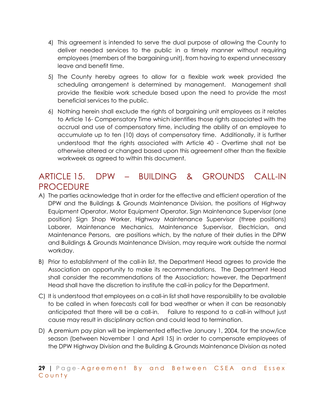- 4) This agreement is intended to serve the dual purpose of allowing the County to deliver needed services to the public in a timely manner without requiring employees (members of the bargaining unit), from having to expend unnecessary leave and benefit time.
- 5) The County hereby agrees to allow for a flexible work week provided the scheduling arrangement is determined by management. Management shall provide the flexible work schedule based upon the need to provide the most beneficial services to the public.
- 6) Nothing herein shall exclude the rights of bargaining unit employees as it relates to Article 16- Compensatory Time which identifies those rights associated with the accrual and use of compensatory time, including the ability of an employee to accumulate up to ten (10) days of compensatory time. Additionally, it is further understood that the rights associated with Article 40 - Overtime shall not be otherwise altered or changed based upon this agreement other than the flexible workweek as agreed to within this document.

#### ARTICLE 15. DPW – BUILDING & GROUNDS CALL-IN PROCEDURE

- A) The parties acknowledge that in order for the effective and efficient operation of the DPW and the Buildings & Grounds Maintenance Division, the positions of Highway Equipment Operator, Motor Equipment Operator, Sign Maintenance Supervisor (one position) Sign Shop Worker, Highway Maintenance Supervisor (three positions) Laborer, Maintenance Mechanics, Maintenance Supervisor, Electrician, and Maintenance Persons, are positions which, by the nature of their duties in the DPW and Buildings & Grounds Maintenance Division, may require work outside the normal workday.
- B) Prior to establishment of the call-in list, the Department Head agrees to provide the Association an opportunity to make its recommendations. The Department Head shall consider the recommendations of the Association; however, the Department Head shall have the discretion to institute the call-in policy for the Department.
- C) It is understood that employees on a call-in list shall have responsibility to be available to be called in when forecasts call for bad weather or when it can be reasonably anticipated that there will be a call-in. Failure to respond to a call-in without just cause may result in disciplinary action and could lead to termination.
- D) A premium pay plan will be implemented effective January 1, 2004, for the snow/ice season (between November 1 and April 15) in order to compensate employees of the DPW Highway Division and the Building & Grounds Maintenance Division as noted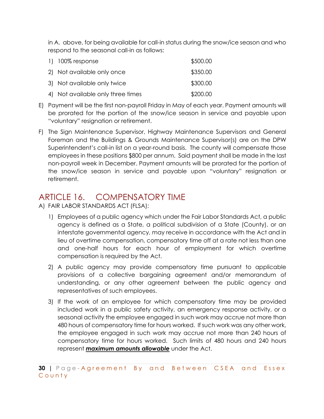in A. above, for being available for call-in status during the snow/ice season and who respond to the seasonal call-in as follows:

| $1)$ 100% response                | \$500.00 |
|-----------------------------------|----------|
| 2) Not available only once        | \$350.00 |
| 3) Not available only twice       | \$300.00 |
| 4) Not available only three times | \$200.00 |

- E) Payment will be the first non-payroll Friday in May of each year. Payment amounts will be prorated for the portion of the snow/ice season in service and payable upon "voluntary" resignation or retirement.
- F) The Sign Maintenance Supervisor, Highway Maintenance Supervisors and General Foreman and the Buildings & Grounds Maintenance Supervisor(s) are on the DPW Superintendent's call-in list on a year-round basis. The county will compensate those employees in these positions \$800 per annum. Said payment shall be made in the last non-payroll week in December. Payment amounts will be prorated for the portion of the snow/ice season in service and payable upon "voluntary" resignation or retirement.

## ARTICLE 16. COMPENSATORY TIME

A) FAIR LABOR STANDARDS ACT (FLSA):

- 1) Employees of a public agency which under the Fair Labor Standards Act, a public agency is defined as a State, a political subdivision of a State (County), or an interstate governmental agency, may receive in accordance with the Act and in lieu of overtime compensation, compensatory time off at a rate not less than one and one-half hours for each hour of employment for which overtime compensation is required by the Act.
- 2) A public agency may provide compensatory time pursuant to applicable provisions of a collective bargaining agreement and/or memorandum of understanding, or any other agreement between the public agency and representatives of such employees.
- 3) If the work of an employee for which compensatory time may be provided included work in a public safety activity, an emergency response activity, or a seasonal activity the employee engaged in such work may accrue not more than 480 hours of compensatory time for hours worked. If such work was any other work, the employee engaged in such work may accrue not more than 240 hours of compensatory time for hours worked. Such limits of 480 hours and 240 hours represent *maximum amounts allowable* under the Act.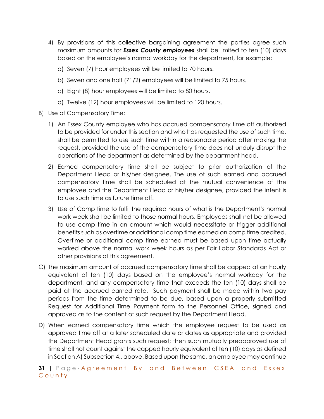- 4) By provisions of this collective bargaining agreement the parties agree such maximum amounts for *Essex County employees* shall be limited to ten (10) days based on the employee's normal workday for the department, for example;
	- a) Seven (7) hour employees will be limited to 70 hours.
	- b) Seven and one half (71/2) employees will be limited to 75 hours.
	- c) Eight (8) hour employees will be limited to 80 hours.
	- d) Twelve (12) hour employees will be limited to 120 hours.
- B) Use of Compensatory Time:
	- 1) An Essex County employee who has accrued compensatory time off authorized to be provided for under this section and who has requested the use of such time, shall be permitted to use such time within a reasonable period after making the request, provided the use of the compensatory time does not unduly disrupt the operations of the department as determined by the department head.
	- 2) Earned compensatory time shall be subject to prior authorization of the Department Head or his/her designee. The use of such earned and accrued compensatory time shall be scheduled at the mutual convenience of the employee and the Department Head or his/her designee, provided the intent is to use such time as future time off.
	- 3) Use of Comp time to fulfil the required hours of what is the Department's normal work week shall be limited to those normal hours. Employees shall not be allowed to use comp time in an amount which would necessitate or trigger additional benefits such as overtime or additional comp time earned on comp time credited. Overtime or additional comp time earned must be based upon time actually worked above the normal work week hours as per Fair Labor Standards Act or other provisions of this agreement.
- C) The maximum amount of accrued compensatory time shall be capped at an hourly equivalent of ten (10) days based on the employee's normal workday for the department, and any compensatory time that exceeds the ten (10) days shall be paid at the accrued earned rate. Such payment shall be made within two pay periods from the time determined to be due, based upon a properly submitted Request for Additional Time Payment form to the Personnel Office, signed and approved as to the content of such request by the Department Head.
- D) When earned compensatory time which the employee request to be used as approved time off at a later scheduled date or dates as appropriate and provided the Department Head grants such request; then such mutually preapproved use of time shall not count against the capped hourly equivalent of ten (10) days as defined in Section A) Subsection 4., above. Based upon the same, an employee may continue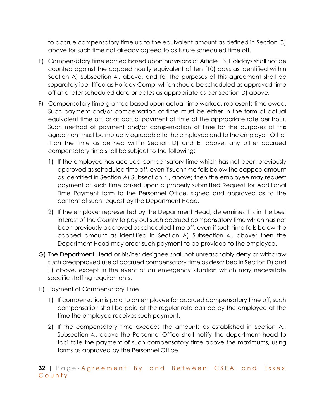to accrue compensatory time up to the equivalent amount as defined in Section C) above for such time not already agreed to as future scheduled time off.

- E) Compensatory time earned based upon provisions of Article 13. Holidays shall not be counted against the capped hourly equivalent of ten (10) days as identified within Section A) Subsection 4., above, and for the purposes of this agreement shall be separately identified as Holiday Comp, which should be scheduled as approved time off at a later scheduled date or dates as appropriate as per Section D) above.
- F) Compensatory time granted based upon actual time worked, represents time owed. Such payment and/or compensation of time must be either in the form of actual equivalent time off, or as actual payment of time at the appropriate rate per hour. Such method of payment and/or compensation of time for the purposes of this agreement must be mutually agreeable to the employee and to the employer. Other than the time as defined within Section D) and E) above, any other accrued compensatory time shall be subject to the following;
	- 1) If the employee has accrued compensatory time which has not been previously approved as scheduled time off, even if such time falls below the capped amount as identified in Section A) Subsection 4., above; then the employee may request payment of such time based upon a properly submitted Request for Additional Time Payment form to the Personnel Office, signed and approved as to the content of such request by the Department Head.
	- 2) If the employer represented by the Department Head, determines it is in the best interest of the County to pay out such accrued compensatory time which has not been previously approved as scheduled time off, even if such time falls below the capped amount as identified in Section A) Subsection 4., above; then the Department Head may order such payment to be provided to the employee.
- G) The Department Head or his/her designee shall not unreasonably deny or withdraw such preapproved use of accrued compensatory time as described in Section D) and E) above, except in the event of an emergency situation which may necessitate specific staffing requirements.
- H) Payment of Compensatory Time
	- 1) If compensation is paid to an employee for accrued compensatory time off, such compensation shall be paid at the regular rate earned by the employee at the time the employee receives such payment.
	- 2) If the compensatory time exceeds the amounts as established in Section A., Subsection 4., above the Personnel Office shall notify the department head to facilitate the payment of such compensatory time above the maximums, using forms as approved by the Personnel Office.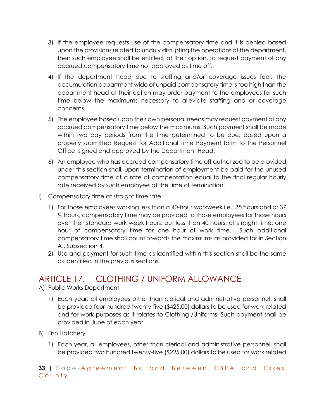- 3) If the employee requests use of the compensatory time and it is denied based upon the provisions related to unduly disrupting the operations of the department, then such employee shall be entitled, at their option, to request payment of any accrued compensatory time not approved as time off.
- 4) If the department head due to staffing and/or coverage issues feels the accumulation department wide of unpaid compensatory time is too high than the department head at their option may order payment to the employees for such time below the maximums necessary to alleviate staffing and or coverage concerns.
- 5) The employee based upon their own personal needs may request payment of any accrued compensatory time below the maximums. Such payment shall be made within two pay periods from the time determined to be due, based upon a properly submitted Request for Additional Time Payment form to the Personnel Office, signed and approved by the Department Head.
- 6) An employee who has accrued compensatory time off authorized to be provided under this section shall, upon termination of employment be paid for the unused compensatory time at a rate of compensation equal to the final regular hourly rate received by such employee at the time of termination.
- I) Compensatory time at straight time rate
	- 1) For those employees working less than a 40-hour workweek i.e., 35 hours and or 37 ½ hours, compensatory time may be provided to those employees for those hours over their standard work week hours, but less than 40 hours, at straight time, one hour of compensatory time for one hour of work time. Such additional compensatory time shall count towards the maximums as provided for in Section A., Subsection 4.
	- 2) Use and payment for such time as identified within this section shall be the same as identified in the previous sections.

#### ARTICLE 17. CLOTHING / UNIFORM ALLOWANCE

- A) Public Works Department
	- 1) Each year, all employees other than clerical and administrative personnel, shall be provided four hundred twenty-five (\$425.00) dollars to be used for work related and for work purposes as it relates to Clothing /Uniforms. Such payment shall be provided in June of each year.
- B) Fish Hatchery
	- 1) Each year, all employees, other than clerical and administrative personnel, shall be provided two hundred twenty-five (\$225.00) dollars to be used for work related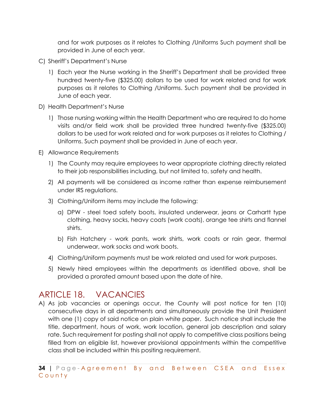and for work purposes as it relates to Clothing /Uniforms Such payment shall be provided in June of each year.

- C) Sheriff's Department's Nurse
	- 1) Each year the Nurse working in the Sheriff's Department shall be provided three hundred twenty-five (\$325.00) dollars to be used for work related and for work purposes as it relates to Clothing /Uniforms. Such payment shall be provided in June of each year.
- D) Health Department's Nurse
	- 1) Those nursing working within the Health Department who are required to do home visits and/or field work shall be provided three hundred twenty-five (\$325.00) dollars to be used for work related and for work purposes as it relates to Clothing / Uniforms. Such payment shall be provided in June of each year.
- E) Allowance Requirements
	- 1) The County may require employees to wear appropriate clothing directly related to their job responsibilities including, but not limited to, safety and health.
	- 2) All payments will be considered as income rather than expense reimbursement under IRS regulations.
	- 3) Clothing/Uniform items may include the following:
		- a) DPW steel toed safety boots, insulated underwear, jeans or Carhartt type clothing, heavy socks, heavy coats (work coats), orange tee shirts and flannel shirts.
		- b) Fish Hatchery work pants, work shirts, work coats or rain gear, thermal underwear, work socks and work boots.
	- 4) Clothing/Uniform payments must be work related and used for work purposes.
	- 5) Newly hired employees within the departments as identified above, shall be provided a prorated amount based upon the date of hire.

## ARTICLE 18. VACANCIES

A) As job vacancies or openings occur, the County will post notice for ten (10) consecutive days in all departments and simultaneously provide the Unit President with one (1) copy of said notice on plain white paper. Such notice shall include the title, department, hours of work, work location, general job description and salary rate. Such requirement for posting shall not apply to competitive class positions being filled from an eligible list, however provisional appointments within the competitive class shall be included within this positing requirement.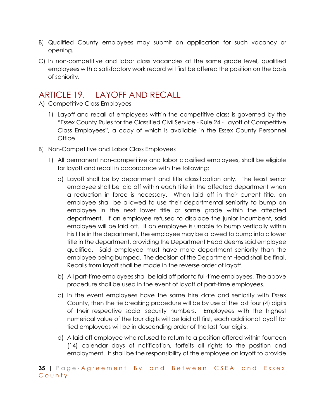- B) Qualified County employees may submit an application for such vacancy or opening.
- C) In non-competitive and labor class vacancies at the same grade level, qualified employees with a satisfactory work record will first be offered the position on the basis of seniority.

#### ARTICLE 19. LAYOFF AND RECALL

- A) Competitive Class Employees
	- 1) Layoff and recall of employees within the competitive class is governed by the "Essex County Rules for the Classified Civil Service - Rule 24 - Layoff of Competitive Class Employees", a copy of which is available in the Essex County Personnel Office.
- B) Non-Competitive and Labor Class Employees
	- 1) All permanent non-competitive and labor classified employees, shall be eligible for layoff and recall in accordance with the following:
		- a) Layoff shall be by department and title classification only. The least senior employee shall be laid off within each title in the affected department when a reduction in force is necessary. When laid off in their current title, an employee shall be allowed to use their departmental seniority to bump an employee in the next lower title or same grade within the affected department. If an employee refused to displace the junior incumbent, said employee will be laid off. If an employee is unable to bump vertically within his title in the department, the employee may be allowed to bump into a lower title in the department, providing the Department Head deems said employee qualified. Said employee must have more department seniority than the employee being bumped. The decision of the Department Head shall be final. Recalls from layoff shall be made in the reverse order of layoff.
		- b) All part-time employees shall be laid off prior to full-time employees. The above procedure shall be used in the event of layoff of part-time employees.
		- c) In the event employees have the same hire date and seniority with Essex County, then the tie breaking procedure will be by use of the last four (4) digits of their respective social security numbers. Employees with the highest numerical value of the four digits will be laid off first, each additional layoff for tied employees will be in descending order of the last four digits.
		- d) A laid off employee who refused to return to a position offered within fourteen (14) calendar days of notification, forfeits all rights to the position and employment. It shall be the responsibility of the employee on layoff to provide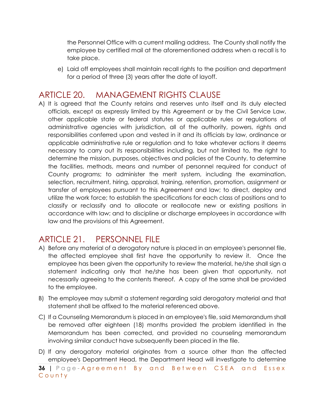the Personnel Office with a current mailing address. The County shall notify the employee by certified mail at the aforementioned address when a recall is to take place.

e) Laid off employees shall maintain recall rights to the position and department for a period of three (3) years after the date of layoff.

#### ARTICLE 20. MANAGEMENT RIGHTS CLAUSE

A) It is agreed that the County retains and reserves unto itself and its duly elected officials, except as expressly limited by this Agreement or by the Civil Service Law, other applicable state or federal statutes or applicable rules or regulations of administrative agencies with jurisdiction, all of the authority, powers, rights and responsibilities conferred upon and vested in it and its officials by law, ordinance or applicable administrative rule or regulation and to take whatever actions it deems necessary to carry out its responsibilities including, but not limited to, the right to determine the mission, purposes, objectives and policies of the County, to determine the facilities, methods, means and number of personnel required for conduct of County programs; to administer the merit system, including the examination, selection, recruitment, hiring, appraisal, training, retention, promotion, assignment or transfer of employees pursuant to this Agreement and law; to direct, deploy and utilize the work force; to establish the specifications for each class of positions and to classify or reclassify and to allocate or reallocate new or existing positions in accordance with law; and to discipline or discharge employees in accordance with law and the provisions of this Agreement.

#### ARTICLE 21. PERSONNEL FILE

- A) Before any material of a derogatory nature is placed in an employee's personnel file, the affected employee shall first have the opportunity to review it. Once the employee has been given the opportunity to review the material, he/she shall sign a statement indicating only that he/she has been given that opportunity, not necessarily agreeing to the contents thereof. A copy of the same shall be provided to the employee.
- B) The employee may submit a statement regarding said derogatory material and that statement shall be affixed to the material referenced above.
- C) If a Counseling Memorandum is placed in an employee's file, said Memorandum shall be removed after eighteen (18) months provided the problem identified in the Memorandum has been corrected, and provided no counseling memorandum involving similar conduct have subsequently been placed in the file.
- D) If any derogatory material originates from a source other than the affected employee's Department Head, the Department Head will investigate to determine

**36 |** Page - Agreement By and Between CSEA and Essex County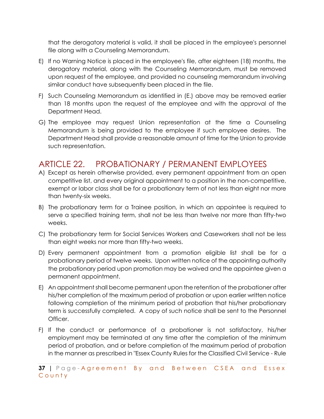that the derogatory material is valid, it shall be placed in the employee's personnel file along with a Counseling Memorandum.

- E) If no Warning Notice is placed in the employee's file, after eighteen (18) months, the derogatory material, along with the Counseling Memorandum, must be removed upon request of the employee, and provided no counseling memorandum involving similar conduct have subsequently been placed in the file.
- F) Such Counseling Memorandum as identified in (E.) above may be removed earlier than 18 months upon the request of the employee and with the approval of the Department Head.
- G) The employee may request Union representation at the time a Counseling Memorandum is being provided to the employee if such employee desires. The Department Head shall provide a reasonable amount of time for the Union to provide such representation.

#### ARTICLE 22. PROBATIONARY / PERMANENT EMPLOYEES

- A) Except as herein otherwise provided, every permanent appointment from an open competitive list, and every original appointment to a position in the non-competitive, exempt or labor class shall be for a probationary term of not less than eight nor more than twenty-six weeks.
- B) The probationary term for a Trainee position, in which an appointee is required to serve a specified training term, shall not be less than twelve nor more than fifty-two weeks.
- C) The probationary term for Social Services Workers and Caseworkers shall not be less than eight weeks nor more than fifty-two weeks.
- D) Every permanent appointment from a promotion eligible list shall be for a probationary period of twelve weeks. Upon written notice of the appointing authority the probationary period upon promotion may be waived and the appointee given a permanent appointment.
- E) An appointment shall become permanent upon the retention of the probationer after his/her completion of the maximum period of probation or upon earlier written notice following completion of the minimum period of probation that his/her probationary term is successfully completed. A copy of such notice shall be sent to the Personnel Officer.
- F) If the conduct or performance of a probationer is not satisfactory, his/her employment may be terminated at any time after the completion of the minimum period of probation, and or before completion of the maximum period of probation in the manner as prescribed in "Essex County Rules for the Classified Civil Service - Rule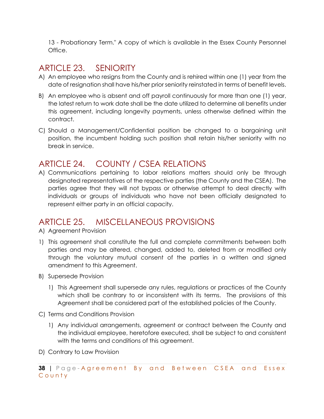13 - Probationary Term." A copy of which is available in the Essex County Personnel Office.

#### ARTICLE 23. SENIORITY

- A) An employee who resigns from the County and is rehired within one (1) year from the date of resignation shall have his/her prior seniority reinstated in terms of benefit levels.
- B) An employee who is absent and off payroll continuously for more than one (1) year, the latest return to work date shall be the date utilized to determine all benefits under this agreement, including longevity payments, unless otherwise defined within the contract.
- C) Should a Management/Confidential position be changed to a bargaining unit position, the incumbent holding such position shall retain his/her seniority with no break in service.

#### ARTICLE 24. COUNTY / CSEA RELATIONS

A) Communications pertaining to labor relations matters should only be through designated representatives of the respective parties (the County and the CSEA). The parties agree that they will not bypass or otherwise attempt to deal directly with individuals or groups of individuals who have not been officially designated to represent either party in an official capacity.

#### ARTICLE 25. MISCELLANEOUS PROVISIONS

- A) Agreement Provision
- 1) This agreement shall constitute the full and complete commitments between both parties and may be altered, changed, added to, deleted from or modified only through the voluntary mutual consent of the parties in a written and signed amendment to this Agreement.
- B) Supersede Provision
	- 1) This Agreement shall supersede any rules, regulations or practices of the County which shall be contrary to or inconsistent with its terms. The provisions of this Agreement shall be considered part of the established policies of the County.
- C) Terms and Conditions Provision
	- 1) Any individual arrangements, agreement or contract between the County and the individual employee, heretofore executed, shall be subject to and consistent with the terms and conditions of this agreement.
- D) Contrary to Law Provision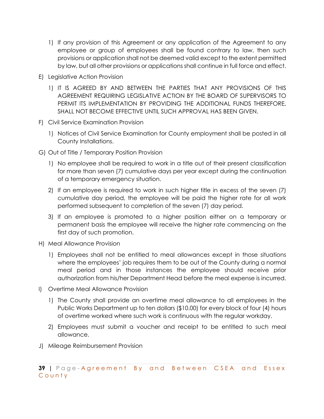- 1) If any provision of this Agreement or any application of the Agreement to any employee or group of employees shall be found contrary to law, then such provisions or application shall not be deemed valid except to the extent permitted by law, but all other provisions or applications shall continue in full force and effect.
- E) Legislative Action Provision
	- 1) IT IS AGREED BY AND BETWEEN THE PARTIES THAT ANY PROVISIONS OF THIS AGREEMENT REQUIRING LEGISLATIVE ACTION BY THE BOARD OF SUPERVISORS TO PERMIT ITS IMPLEMENTATION BY PROVIDING THE ADDITIONAL FUNDS THEREFORE, SHALL NOT BECOME EFFECTIVE UNTIL SUCH APPROVAL HAS BEEN GIVEN.
- F) Civil Service Examination Provision
	- 1) Notices of Civil Service Examination for County employment shall be posted in all County Installations.
- G) Out of Title / Temporary Position Provision
	- 1) No employee shall be required to work in a title out of their present classification for more than seven (7) cumulative days per year except during the continuation of a temporary emergency situation.
	- 2) If an employee is required to work in such higher title in excess of the seven (7) cumulative day period, the employee will be paid the higher rate for all work performed subsequent to completion of the seven (7) day period.
	- 3) If an employee is promoted to a higher position either on a temporary or permanent basis the employee will receive the higher rate commencing on the first day of such promotion.
- H) Meal Allowance Provision
	- 1) Employees shall not be entitled to meal allowances except in those situations where the employees' job requires them to be out of the County during a normal meal period and in those instances the employee should receive prior authorization from his/her Department Head before the meal expense is incurred.
- I) Overtime Meal Allowance Provision
	- 1) The County shall provide an overtime meal allowance to all employees in the Public Works Department up to ten dollars (\$10.00) for every block of four (4) hours of overtime worked where such work is continuous with the regular workday.
	- 2) Employees must submit a voucher and receipt to be entitled to such meal allowance.
- J) Mileage Reimbursement Provision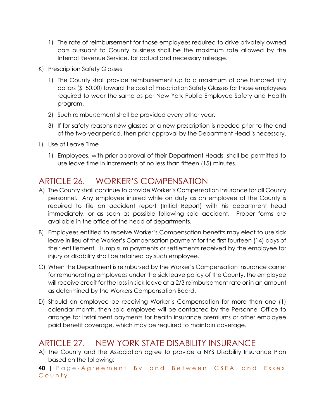- 1) The rate of reimbursement for those employees required to drive privately owned cars pursuant to County business shall be the maximum rate allowed by the Internal Revenue Service, for actual and necessary mileage.
- K) Prescription Safety Glasses
	- 1) The County shall provide reimbursement up to a maximum of one hundred fifty dollars (\$150.00) toward the cost of Prescription Safety Glasses for those employees required to wear the same as per New York Public Employee Safety and Health program.
	- 2) Such reimbursement shall be provided every other year.
	- 3) If for safety reasons new glasses or a new prescription is needed prior to the end of the two-year period, then prior approval by the Department Head is necessary.
- L) Use of Leave Time
	- 1) Employees, with prior approval of their Department Heads, shall be permitted to use leave time in increments of no less than fifteen (15) minutes.

#### ARTICLE 26. WORKER'S COMPENSATION

- A) The County shall continue to provide Worker's Compensation insurance for all County personnel. Any employee injured while on duty as an employee of the County is required to file an accident report (Initial Report) with his department head immediately, or as soon as possible following said accident. Proper forms are available in the office of the head of departments.
- B) Employees entitled to receive Worker's Compensation benefits may elect to use sick leave in lieu of the Worker's Compensation payment for the first fourteen (14) days of their entitlement. Lump sum payments or settlements received by the employee for injury or disability shall be retained by such employee.
- C) When the Department is reimbursed by the Worker's Compensation Insurance carrier for remunerating employees under the sick leave policy of the County, the employee will receive credit for the loss in sick leave at a 2/3 reimbursement rate or in an amount as determined by the Workers Compensation Board.
- D) Should an employee be receiving Worker's Compensation for more than one (1) calendar month, then said employee will be contacted by the Personnel Office to arrange for installment payments for health insurance premiums or other employee paid benefit coverage, which may be required to maintain coverage.

#### ARTICLE 27. NEW YORK STATE DISABILITY INSURANCE

A) The County and the Association agree to provide a NYS Disability Insurance Plan based on the following;

**40 |** Page - Agreement By and Between CSEA and Essex County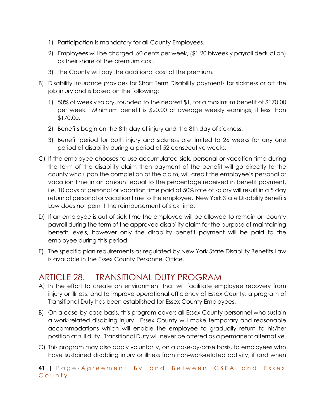- 1) Participation is mandatory for all County Employees.
- 2) Employees will be charged .60 cents per week, (\$1.20 biweekly payroll deduction) as their share of the premium cost.
- 3) The County will pay the additional cost of the premium.
- B) Disability Insurance provides for Short Term Disability payments for sickness or off the job injury and is based on the following;
	- 1) 50% of weekly salary, rounded to the nearest \$1, for a maximum benefit of \$170.00 per week. Minimum benefit is \$20.00 or average weekly earnings, if less than \$170.00.
	- 2) Benefits begin on the 8th day of injury and the 8th day of sickness.
	- 3) Benefit period for both injury and sickness are limited to 26 weeks for any one period of disability during a period of 52 consecutive weeks.
- C) If the employee chooses to use accumulated sick, personal or vacation time during the term of the disability claim then payment of the benefit will go directly to the county who upon the completion of the claim, will credit the employee's personal or vacation time in an amount equal to the percentage received in benefit payment, i.e. 10 days of personal or vacation time paid at 50% rate of salary will result in a 5 day return of personal or vacation time to the employee. New York State Disability Benefits Law does not permit the reimbursement of sick time.
- D) If an employee is out of sick time the employee will be allowed to remain on county payroll during the term of the approved disability claim for the purpose of maintaining benefit levels, however only the disability benefit payment will be paid to the employee during this period.
- E) The specific plan requirements as regulated by New York State Disability Benefits Law is available in the Essex County Personnel Office.

#### ARTICLE 28. TRANSITIONAL DUTY PROGRAM

- A) In the effort to create an environment that will facilitate employee recovery from injury or illness, and to improve operational efficiency of Essex County, a program of Transitional Duty has been established for Essex County Employees.
- B) On a case-by-case basis, this program covers all Essex County personnel who sustain a work-related disabling injury. Essex County will make temporary and reasonable accommodations which will enable the employee to gradually return to his/her position at full duty. Transitional Duty will never be offered as a permanent alternative.
- C) This program may also apply voluntarily, on a case-by-case basis, to employees who have sustained disabling injury or illness from non-work-related activity, if and when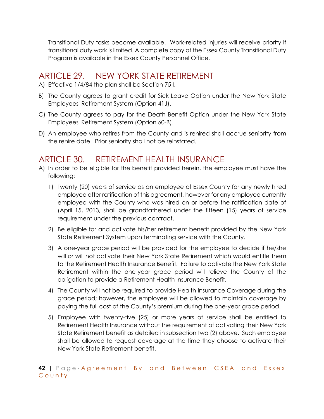Transitional Duty tasks become available. Work-related injuries will receive priority if transitional duty work is limited. A complete copy of the Essex County Transitional Duty Program is available in the Essex County Personnel Office.

#### ARTICLE 29. NEW YORK STATE RETIREMENT

A) Effective 1/4/84 the plan shall be Section 75 I.

- B) The County agrees to grant credit for Sick Leave Option under the New York State Employees' Retirement System (Option 41J).
- C) The County agrees to pay for the Death Benefit Option under the New York State Employees' Retirement System (Option 60-B).
- D) An employee who retires from the County and is rehired shall accrue seniority from the rehire date. Prior seniority shall not be reinstated.

#### ARTICLE 30. RETIREMENT HEALTH INSURANCE

- A) In order to be eligible for the benefit provided herein, the employee must have the following:
	- 1) Twenty (20) years of service as an employee of Essex County for any newly hired employee after ratification of this agreement, however for any employee currently employed with the County who was hired on or before the ratification date of (April 15, 2013, shall be grandfathered under the fifteen (15) years of service requirement under the previous contract.
	- 2) Be eligible for and activate his/her retirement benefit provided by the New York State Retirement System upon terminating service with the County.
	- 3) A one-year grace period will be provided for the employee to decide if he/she will or will not activate their New York State Retirement which would entitle them to the Retirement Health Insurance Benefit. Failure to activate the New York State Retirement within the one-year grace period will relieve the County of the obligation to provide a Retirement Health Insurance Benefit.
	- 4) The County will not be required to provide Health Insurance Coverage during the grace period; however, the employee will be allowed to maintain coverage by paying the full cost of the County's premium during the one-year grace period.
	- 5) Employee with twenty-five (25) or more years of service shall be entitled to Retirement Health Insurance without the requirement of activating their New York State Retirement benefit as detailed in subsection two (2) above. Such employee shall be allowed to request coverage at the time they choose to activate their New York State Retirement benefit.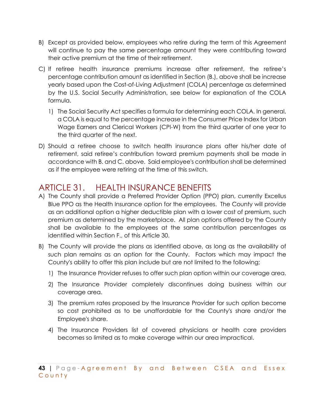- B) Except as provided below, employees who retire during the term of this Agreement will continue to pay the same percentage amount they were contributing toward their active premium at the time of their retirement.
- C) If retiree health insurance premiums increase after retirement, the retiree's percentage contribution amount as identified in Section (B.), above shall be increase yearly based upon the Cost-of-Living Adjustment (COLA) percentage as determined by the U.S. Social Security Administration, see below for explanation of the COLA formula.
	- 1) The Social Security Act specifies a formula for determining each COLA. In general, a COLA is equal to the percentage increase in the Consumer Price Index for Urban Wage Earners and Clerical Workers (CPI-W) from the third quarter of one year to the third quarter of the next.
- D) Should a retiree choose to switch health insurance plans after his/her date of retirement, said retiree's contribution toward premium payments shall be made in accordance with B. and C. above. Said employee's contribution shall be determined as if the employee were retiring at the time of this switch.

## ARTICLE 31. HEALTH INSURANCE BENEFITS

- A) The County shall provide a Preferred Provider Option (PPO) plan, currently Excellus Blue PPO as the Health Insurance option for the employees. The County will provide as an additional option a higher deductible plan with a lower cost of premium, such premium as determined by the marketplace. All plan options offered by the County shall be available to the employees at the same contribution percentages as identified within Section F., of this Article 30.
- B) The County will provide the plans as identified above, as long as the availability of such plan remains as an option for the County. Factors which may impact the County's ability to offer this plan include but are not limited to the following;
	- 1) The Insurance Provider refuses to offer such plan option within our coverage area.
	- 2) The Insurance Provider completely discontinues doing business within our coverage area.
	- 3) The premium rates proposed by the Insurance Provider for such option become so cost prohibited as to be unaffordable for the County's share and/or the Employee's share.
	- 4) The Insurance Providers list of covered physicians or health care providers becomes so limited as to make coverage within our area impractical.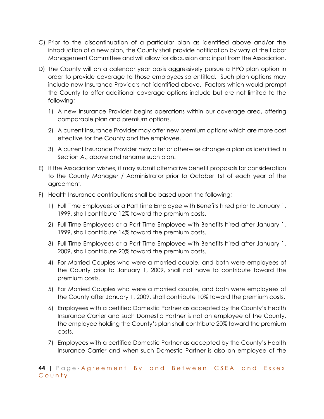- C) Prior to the discontinuation of a particular plan as identified above and/or the introduction of a new plan, the County shall provide notification by way of the Labor Management Committee and will allow for discussion and input from the Association.
- D) The County will on a calendar year basis aggressively pursue a PPO plan option in order to provide coverage to those employees so entitled. Such plan options may include new Insurance Providers not identified above. Factors which would prompt the County to offer additional coverage options include but are not limited to the following;
	- 1) A new Insurance Provider begins operations within our coverage area, offering comparable plan and premium options.
	- 2) A current Insurance Provider may offer new premium options which are more cost effective for the County and the employee.
	- 3) A current Insurance Provider may alter or otherwise change a plan as identified in Section A., above and rename such plan.
- E) If the Association wishes, it may submit alternative benefit proposals for consideration to the County Manager / Administrator prior to October 1st of each year of the agreement.
- F) Health Insurance contributions shall be based upon the following;
	- 1) Full Time Employees or a Part Time Employee with Benefits hired prior to January 1, 1999, shall contribute 12% toward the premium costs.
	- 2) Full Time Employees or a Part Time Employee with Benefits hired after January 1, 1999, shall contribute 14% toward the premium costs.
	- 3) Full Time Employees or a Part Time Employee with Benefits hired after January 1, 2009, shall contribute 20% toward the premium costs.
	- 4) For Married Couples who were a married couple, and both were employees of the County prior to January 1, 2009, shall not have to contribute toward the premium costs.
	- 5) For Married Couples who were a married couple, and both were employees of the County after January 1, 2009, shall contribute 10% toward the premium costs.
	- 6) Employees with a certified Domestic Partner as accepted by the County's Health Insurance Carrier and such Domestic Partner is not an employee of the County, the employee holding the County's plan shall contribute 20% toward the premium costs.
	- 7) Employees with a certified Domestic Partner as accepted by the County's Health Insurance Carrier and when such Domestic Partner is also an employee of the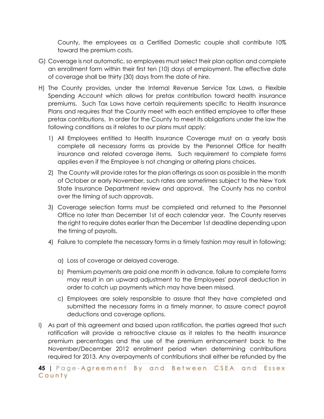County, the employees as a Certified Domestic couple shall contribute 10% toward the premium costs.

- G) Coverage is not automatic, so employees must select their plan option and complete an enrollment form within their first ten (10) days of employment. The effective date of coverage shall be thirty (30) days from the date of hire.
- H) The County provides, under the Internal Revenue Service Tax Laws, a Flexible Spending Account which allows for pretax contribution toward health insurance premiums. Such Tax Laws have certain requirements specific to Health Insurance Plans and requires that the County meet with each entitled employee to offer these pretax contributions. In order for the County to meet its obligations under the law the following conditions as it relates to our plans must apply;
	- 1) All Employees entitled to Health Insurance Coverage must on a yearly basis complete all necessary forms as provide by the Personnel Office for health insurance and related coverage items. Such requirement to complete forms applies even if the Employee is not changing or altering plans choices.
	- 2) The County will provide rates for the plan offerings as soon as possible in the month of October or early November, such rates are sometimes subject to the New York State Insurance Department review and approval. The County has no control over the timing of such approvals.
	- 3) Coverage selection forms must be completed and returned to the Personnel Office no later than December 1st of each calendar year. The County reserves the right to require dates earlier than the December 1st deadline depending upon the timing of payrolls.
	- 4) Failure to complete the necessary forms in a timely fashion may result in following;
		- a) Loss of coverage or delayed coverage.
		- b) Premium payments are paid one month in advance, failure to complete forms may result in an upward adjustment to the Employees' payroll deduction in order to catch up payments which may have been missed.
		- c) Employees are solely responsible to assure that they have completed and submitted the necessary forms in a timely manner, to assure correct payroll deductions and coverage options.
- I) As part of this agreement and based upon ratification, the parties agreed that such ratification will provide a retroactive clause as it relates to the health insurance premium percentages and the use of the premium enhancement back to the November/December 2012 enrollment period when determining contributions required for 2013. Any overpayments of contributions shall either be refunded by the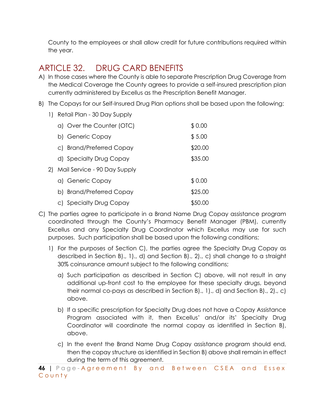County to the employees or shall allow credit for future contributions required within the year.

## ARTICLE 32. DRUG CARD BENEFITS

- A) In those cases where the County is able to separate Prescription Drug Coverage from the Medical Coverage the County agrees to provide a self-insured prescription plan currently administered by Excellus as the Prescription Benefit Manager.
- B) The Copays for our Self-Insured Drug Plan options shall be based upon the following:
	- 1) Retail Plan 30 Day Supply

|    | a) Over the Counter (OTC)    | \$0.00  |
|----|------------------------------|---------|
|    | b) Generic Copay             | \$5.00  |
|    | c) Brand/Preferred Copay     | \$20.00 |
|    | d) Specialty Drug Copay      | \$35.00 |
| 2) | Mail Service - 90 Day Supply |         |
|    | a) Generic Copay             | \$0.00  |
|    | b) Brand/Preferred Copay     | \$25.00 |
|    | c) Specialty Drug Copay      | \$50.00 |

- C) The parties agree to participate in a Brand Name Drug Copay assistance program coordinated through the County's Pharmacy Benefit Manager (PBM), currently Excellus and any Specialty Drug Coordinator which Excellus may use for such purposes. Such participation shall be based upon the following conditions;
	- 1) For the purposes of Section C), the parties agree the Specialty Drug Copay as described in Section B)., 1)., d) and Section B)., 2)., c) shall change to a straight 30% coinsurance amount subject to the following conditions;
		- a) Such participation as described in Section C) above, will not result in any additional up-front cost to the employee for these specialty drugs, beyond their normal co-pays as described in Section B)., 1)., d) and Section B)., 2)., c) above.
		- b) If a specific prescription for Specialty Drug does not have a Copay Assistance Program associated with it, then Excellus' and/or its' Specialty Drug Coordinator will coordinate the normal copay as identified in Section B), above.
		- c) In the event the Brand Name Drug Copay assistance program should end, then the copay structure as identified in Section B) above shall remain in effect during the term of this agreement.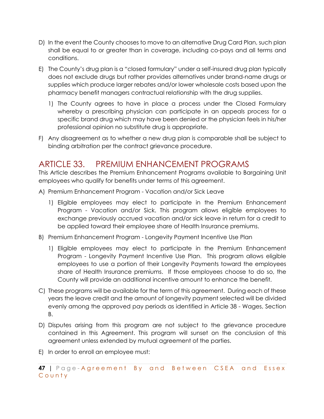- D) In the event the County chooses to move to an alternative Drug Card Plan, such plan shall be equal to or greater than in coverage, including co-pays and all terms and conditions.
- E) The County's drug plan is a "closed formulary" under a self-insured drug plan typically does not exclude drugs but rather provides alternatives under brand-name drugs or supplies which produce larger rebates and/or lower wholesale costs based upon the pharmacy benefit managers contractual relationship with the drug supplies.
	- 1) The County agrees to have in place a process under the Closed Formulary whereby a prescribing physician can participate in an appeals process for a specific brand drug which may have been denied or the physician feels in his/her professional opinion no substitute drug is appropriate.
- F) Any disagreement as to whether a new drug plan is comparable shall be subject to binding arbitration per the contract grievance procedure.

#### ARTICLE 33. PREMIUM ENHANCEMENT PROGRAMS

This Article describes the Premium Enhancement Programs available to Bargaining Unit employees who qualify for benefits under terms of this agreement.

- A) Premium Enhancement Program Vacation and/or Sick Leave
	- 1) Eligible employees may elect to participate in the Premium Enhancement Program - Vacation and/or Sick. This program allows eligible employees to exchange previously accrued vacation and/or sick leave in return for a credit to be applied toward their employee share of Health Insurance premiums.
- B) Premium Enhancement Program Longevity Payment Incentive Use Plan
	- 1) Eligible employees may elect to participate in the Premium Enhancement Program - Longevity Payment Incentive Use Plan. This program allows eligible employees to use a portion of their Longevity Payments toward the employees share of Health Insurance premiums. If those employees choose to do so, the County will provide an additional incentive amount to enhance the benefit.
- C) These programs will be available for the term of this agreement. During each of these years the leave credit and the amount of longevity payment selected will be divided evenly among the approved pay periods as identified in Article 38 - Wages, Section B.
- D) Disputes arising from this program are not subject to the grievance procedure contained in this Agreement. This program will sunset on the conclusion of this agreement unless extended by mutual agreement of the parties.
- E) In order to enroll an employee must: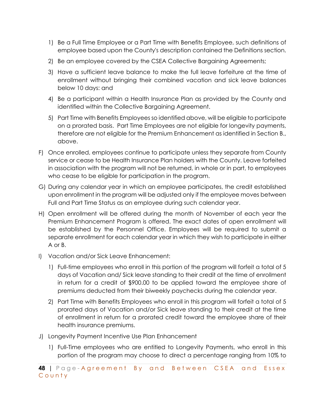- 1) Be a Full Time Employee or a Part Time with Benefits Employee, such definitions of employee based upon the County's description contained the Definitions section.
- 2) Be an employee covered by the CSEA Collective Bargaining Agreements;
- 3) Have a sufficient leave balance to make the full leave forfeiture at the time of enrollment without bringing their combined vacation and sick leave balances below 10 days: and
- 4) Be a participant within a Health Insurance Plan as provided by the County and identified within the Collective Bargaining Agreement.
- 5) Part Time with Benefits Employees so identified above, will be eligible to participate on a prorated basis. Part Time Employees are not eligible for longevity payments, therefore are not eligible for the Premium Enhancement as identified in Section B., above.
- F) Once enrolled, employees continue to participate unless they separate from County service or cease to be Health Insurance Plan holders with the County. Leave forfeited in association with the program will not be returned, in whole or in part, to employees who cease to be eligible for participation in the program.
- G) During any calendar year in which an employee participates, the credit established upon enrollment in the program will be adjusted only if the employee moves between Full and Part Time Status as an employee during such calendar year.
- H) Open enrollment will be offered during the month of November of each year the Premium Enhancement Program is offered. The exact dates of open enrollment will be established by the Personnel Office. Employees will be required to submit a separate enrollment for each calendar year in which they wish to participate in either A or B.
- I) Vacation and/or Sick Leave Enhancement:
	- 1) Full-time employees who enroll in this portion of the program will forfeit a total of 5 days of Vacation and/ Sick leave standing to their credit at the time of enrollment in return for a credit of \$900.00 to be applied toward the employee share of premiums deducted from their biweekly paychecks during the calendar year.
	- 2) Part Time with Benefits Employees who enroll in this program will forfeit a total of 5 prorated days of Vacation and/or Sick leave standing to their credit at the time of enrollment in return for a prorated credit toward the employee share of their health insurance premiums.
- J) Longevity Payment Incentive Use Plan Enhancement
	- 1) Full-Time employees who are entitled to Longevity Payments, who enroll in this portion of the program may choose to direct a percentage ranging from 10% to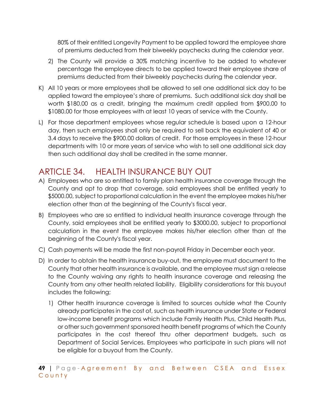80% of their entitled Longevity Payment to be applied toward the employee share of premiums deducted from their biweekly paychecks during the calendar year.

- 2) The County will provide a 30% matching incentive to be added to whatever percentage the employee directs to be applied toward their employee share of premiums deducted from their biweekly paychecks during the calendar year.
- K) All 10 years or more employees shall be allowed to sell one additional sick day to be applied toward the employee's share of premiums. Such additional sick day shall be worth \$180.00 as a credit, bringing the maximum credit applied from \$900.00 to \$1080.00 for those employees with at least 10 years of service with the County.
- L) For those department employees whose regular schedule is based upon a 12-hour day, then such employees shall only be required to sell back the equivalent of 40 or 3.4 days to receive the \$900.00 dollars of credit. For those employees in these 12-hour departments with 10 or more years of service who wish to sell one additional sick day then such additional day shall be credited in the same manner.

# ARTICLE 34. HEALTH INSURANCE BUY OUT

- A) Employees who are so entitled to family plan health insurance coverage through the County and opt to drop that coverage, said employees shall be entitled yearly to \$5000.00, subject to proportional calculation in the event the employee makes his/her election other than at the beginning of the County's fiscal year.
- B) Employees who are so entitled to individual health insurance coverage through the County, said employees shall be entitled yearly to \$3000.00, subject to proportional calculation in the event the employee makes his/her election other than at the beginning of the County's fiscal year.
- C) Cash payments will be made the first non-payroll Friday in December each year.
- D) In order to obtain the health insurance buy-out, the employee must document to the County that other health insurance is available, and the employee must sign a release to the County waiving any rights to health insurance coverage and releasing the County from any other health related liability. Eligibility considerations for this buyout includes the following;
	- 1) Other health insurance coverage is limited to sources outside what the County already participates in the cost of, such as health insurance under State or Federal low-income benefit programs which include Family Health Plus, Child Health Plus, or other such government sponsored health benefit programs of which the County participates in the cost thereof thru other department budgets, such as Department of Social Services. Employees who participate in such plans will not be eligible for a buyout from the County.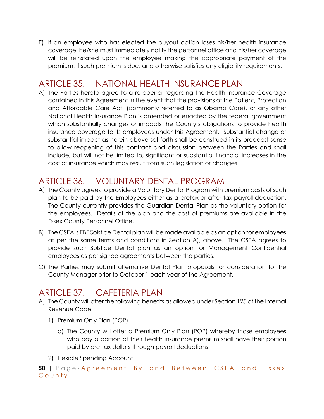E) If an employee who has elected the buyout option loses his/her health insurance coverage, he/she must immediately notify the personnel office and his/her coverage will be reinstated upon the employee making the appropriate payment of the premium, if such premium is due, and otherwise satisfies any eligibility requirements.

#### ARTICLE 35. NATIONAL HEALTH INSURANCE PLAN

A) The Parties hereto agree to a re-opener regarding the Health Insurance Coverage contained in this Agreement in the event that the provisions of the Patient, Protection and Affordable Care Act, (commonly referred to as Obama Care), or any other National Health Insurance Plan is amended or enacted by the federal government which substantially changes or impacts the County's obligations to provide health insurance coverage to its employees under this Agreement. Substantial change or substantial impact as herein above set forth shall be construed in its broadest sense to allow reopening of this contract and discussion between the Parties and shall include, but will not be limited to, significant or substantial financial increases in the cost of insurance which may result from such legislation or changes.

### ARTICLE 36. VOLUNTARY DENTAL PROGRAM

- A) The County agrees to provide a Voluntary Dental Program with premium costs of such plan to be paid by the Employees either as a pretax or after-tax payroll deduction. The County currently provides the Guardian Dental Plan as the voluntary option for the employees. Details of the plan and the cost of premiums are available in the Essex County Personnel Office.
- B) The CSEA's EBF Solstice Dental plan will be made available as an option for employees as per the same terms and conditions in Section A), above. The CSEA agrees to provide such Solstice Dental plan as an option for Management Confidential employees as per signed agreements between the parties.
- C) The Parties may submit alternative Dental Plan proposals for consideration to the County Manager prior to October 1 each year of the Agreement.

## ARTICLE 37. CAFETERIA PLAN

- A) The County will offer the following benefits as allowed under Section 125 of the Internal Revenue Code:
	- 1) Premium Only Plan (POP)
		- a) The County will offer a Premium Only Plan (POP) whereby those employees who pay a portion of their health insurance premium shall have their portion paid by pre-tax dollars through payroll deductions.
	- 2) Flexible Spending Account

**<sup>50</sup> |** Page - Agreement By and Between CSEA and Essex County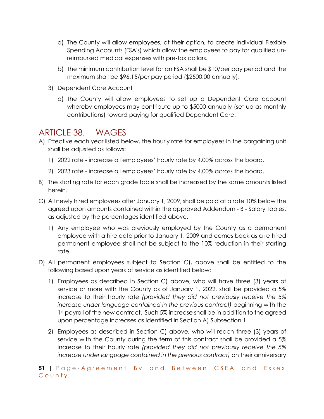- a) The County will allow employees, at their option, to create individual Flexible Spending Accounts (FSA's) which allow the employees to pay for qualified unreimbursed medical expenses with pre-tax dollars.
- b) The minimum contribution level for an FSA shall be \$10/per pay period and the maximum shall be \$96.15/per pay period (\$2500.00 annually).
- 3) Dependent Care Account
	- a) The County will allow employees to set up a Dependent Care account whereby employees may contribute up to \$5000 annually (set up as monthly contributions) toward paying for qualified Dependent Care.

#### ARTICLE 38. WAGES

- A) Effective each year listed below, the hourly rate for employees in the bargaining unit shall be adjusted as follows:
	- 1) 2022 rate increase all employees' hourly rate by 4.00% across the board.
	- 2) 2023 rate increase all employees' hourly rate by 4.00% across the board.
- B) The starting rate for each grade table shall be increased by the same amounts listed herein.
- C) All newly hired employees after January 1, 2009, shall be paid at a rate 10% below the agreed upon amounts contained within the approved Addendum - B - Salary Tables, as adjusted by the percentages identified above.
	- 1) Any employee who was previously employed by the County as a permanent employee with a hire date prior to January 1, 2009 and comes back as a re-hired permanent employee shall not be subject to the 10% reduction in their starting rate.
- D) All permanent employees subject to Section C), above shall be entitled to the following based upon years of service as identified below:
	- 1) Employees as described in Section C) above, who will have three (3) years of service or more with the County as of January 1, 2022, shall be provided a 5% increase to their hourly rate *(provided they did not previously receive the 5% increase under language contained in the previous contract)* beginning with the 1st payroll of the new contract. Such 5% increase shall be in addition to the agreed upon percentage increases as identified in Section A) Subsection 1.
	- 2) Employees as described in Section C) above, who will reach three (3) years of service with the County during the term of this contract shall be provided a 5% increase to their hourly rate *(provided they did not previously receive the 5% increase under language contained in the previous contract)* on their anniversary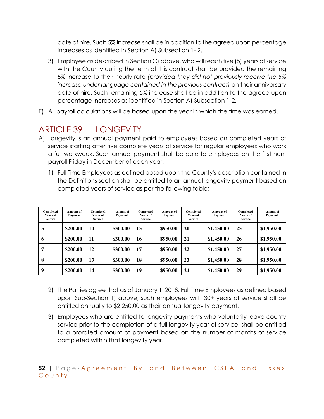date of hire. Such 5% increase shall be in addition to the agreed upon percentage increases as identified in Section A) Subsection 1- 2.

- 3) Employee as described in Section C) above, who will reach five (5) years of service with the County during the term of this contract shall be provided the remaining 5% increase to their hourly rate *(provided they did not previously receive the 5% increase under language contained in the previous contract)* on their anniversary date of hire. Such remaining 5% increase shall be in addition to the agreed upon percentage increases as identified in Section A) Subsection 1-2.
- E) All payroll calculations will be based upon the year in which the time was earned.

# ARTICLE 39. LONGEVITY

- A) Longevity is an annual payment paid to employees based on completed years of service starting after five complete years of service for regular employees who work a full workweek. Such annual payment shall be paid to employees on the first nonpayroll Friday in December of each year.
	- 1) Full Time Employees as defined based upon the County's description contained in the Definitions section shall be entitled to an annual longevity payment based on completed years of service as per the following table;

| Completed<br>Years of<br><b>Service</b> | <b>Amount of</b><br>Payment | Completed<br><b>Years of</b><br><b>Service</b> | Amount of<br>Payment | Completed<br>Years of<br><b>Service</b> | Amount of<br>Payment | Completed<br><b>Years of</b><br><b>Service</b> | <b>Amount of</b><br>Payment | Completed<br><b>Years of</b><br><b>Service</b> | <b>Amount</b> of<br>Payment |
|-----------------------------------------|-----------------------------|------------------------------------------------|----------------------|-----------------------------------------|----------------------|------------------------------------------------|-----------------------------|------------------------------------------------|-----------------------------|
| 5                                       | \$200.00                    | 10                                             | \$300.00             | 15                                      | \$950.00             | 20                                             | \$1,450.00                  | 25                                             | \$1,950.00                  |
| $\mathbf b$                             | \$200.00                    | 11                                             | \$300.00             | 16                                      | \$950.00             | 21                                             | \$1,450.00                  | 26                                             | \$1,950.00                  |
|                                         | \$200.00                    | 12                                             | \$300.00             | 17                                      | \$950.00             | 22                                             | \$1,450.00                  | 27                                             | \$1,950.00                  |
| 8                                       | \$200.00                    | 13                                             | \$300.00             | 18                                      | \$950.00             | 23                                             | \$1,450.00                  | 28                                             | \$1,950.00                  |
| 9                                       | \$200.00                    | 14                                             | \$300.00             | 19                                      | \$950.00             | 24                                             | \$1,450.00                  | 29                                             | \$1,950.00                  |

- 2) The Parties agree that as of January 1, 2018, Full Time Employees as defined based upon Sub-Section 1) above, such employees with 30+ years of service shall be entitled annually to \$2,250.00 as their annual longevity payment.
- 3) Employees who are entitled to longevity payments who voluntarily leave county service prior to the completion of a full longevity year of service, shall be entitled to a prorated amount of payment based on the number of months of service completed within that longevity year.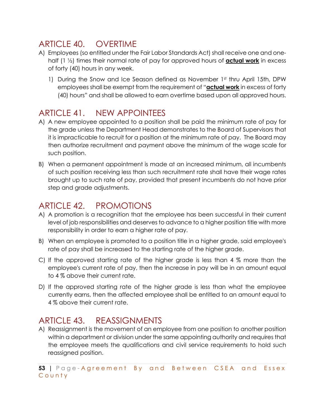#### ARTICLE 40. OVERTIME

- A) Employees (so entitled under the Fair Labor Standards Act) shall receive one and onehalf (1 ½) times their normal rate of pay for approved hours of **actual work** in excess of forty (40) hours in any week.
	- 1) During the Snow and Ice Season defined as November 1st thru April 15th, DPW employees shall be exempt from the requirement of "**actual work** in excess of forty (40) hours" and shall be allowed to earn overtime based upon all approved hours.

### ARTICLE 41. NEW APPOINTEES

- A) A new employee appointed to a position shall be paid the minimum rate of pay for the grade unless the Department Head demonstrates to the Board of Supervisors that it is impracticable to recruit for a position at the minimum rate of pay. The Board may then authorize recruitment and payment above the minimum of the wage scale for such position.
- B) When a permanent appointment is made at an increased minimum, all incumbents of such position receiving less than such recruitment rate shall have their wage rates brought up to such rate of pay, provided that present incumbents do not have prior step and grade adjustments.

# ARTICLE 42. PROMOTIONS

- A) A promotion is a recognition that the employee has been successful in their current level of job responsibilities and deserves to advance to a higher position title with more responsibility in order to earn a higher rate of pay.
- B) When an employee is promoted to a position title in a higher grade, said employee's rate of pay shall be increased to the starting rate of the higher grade.
- C) If the approved starting rate of the higher grade is less than 4 % more than the employee's current rate of pay, then the increase in pay will be in an amount equal to 4 % above their current rate.
- D) If the approved starting rate of the higher grade is less than what the employee currently earns, then the affected employee shall be entitled to an amount equal to 4 % above their current rate.

## ARTICLE 43. REASSIGNMENTS

A) Reassignment is the movement of an employee from one position to another position within a department or division under the same appointing authority and requires that the employee meets the qualifications and civil service requirements to hold such reassigned position.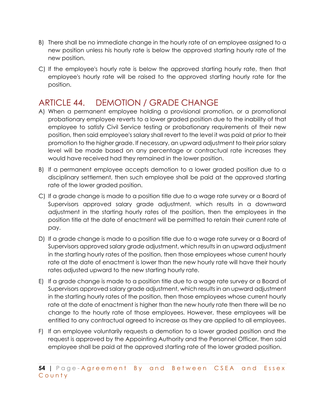- B) There shall be no immediate change in the hourly rate of an employee assigned to a new position unless his hourly rate is below the approved starting hourly rate of the new position.
- C) If the employee's hourly rate is below the approved starting hourly rate, then that employee's hourly rate will be raised to the approved starting hourly rate for the position.

#### ARTICLE 44. DEMOTION / GRADE CHANGE

- A) When a permanent employee holding a provisional promotion, or a promotional probationary employee reverts to a lower graded position due to the inability of that employee to satisfy Civil Service testing or probationary requirements of their new position, then said employee's salary shall revert to the level it was paid at prior to their promotion to the higher grade. If necessary, an upward adjustment to their prior salary level will be made based on any percentage or contractual rate increases they would have received had they remained in the lower position.
- B) If a permanent employee accepts demotion to a lower graded position due to a disciplinary settlement, then such employee shall be paid at the approved starting rate of the lower graded position.
- C) If a grade change is made to a position title due to a wage rate survey or a Board of Supervisors approved salary grade adjustment, which results in a downward adjustment in the starting hourly rates of the position, then the employees in the position title at the date of enactment will be permitted to retain their current rate of pay.
- D) If a grade change is made to a position title due to a wage rate survey or a Board of Supervisors approved salary grade adjustment, which results in an upward adjustment in the starting hourly rates of the position, then those employees whose current hourly rate at the date of enactment is lower than the new hourly rate will have their hourly rates adjusted upward to the new starting hourly rate.
- E) If a grade change is made to a position title due to a wage rate survey or a Board of Supervisors approved salary grade adjustment, which results in an upward adjustment in the starting hourly rates of the position, then those employees whose current hourly rate at the date of enactment is higher than the new hourly rate then there will be no change to the hourly rate of those employees. However, these employees will be entitled to any contractual agreed to increase as they are applied to all employees.
- F) If an employee voluntarily requests a demotion to a lower graded position and the request is approved by the Appointing Authority and the Personnel Officer, then said employee shall be paid at the approved starting rate of the lower graded position.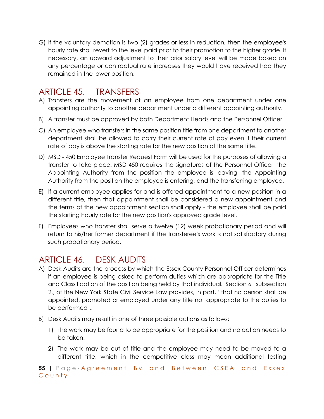G) If the voluntary demotion is two (2) grades or less in reduction, then the employee's hourly rate shall revert to the level paid prior to their promotion to the higher grade. If necessary, an upward adjustment to their prior salary level will be made based on any percentage or contractual rate increases they would have received had they remained in the lower position.

## ARTICLE 45. TRANSFERS

- A) Transfers are the movement of an employee from one department under one appointing authority to another department under a different appointing authority.
- B) A transfer must be approved by both Department Heads and the Personnel Officer.
- C) An employee who transfers in the same position title from one department to another department shall be allowed to carry their current rate of pay even if their current rate of pay is above the starting rate for the new position of the same title.
- D) MSD 450 Employee Transfer Request Form will be used for the purposes of allowing a transfer to take place. MSD-450 requires the signatures of the Personnel Officer, the Appointing Authority from the position the employee is leaving, the Appointing Authority from the position the employee is entering, and the transferring employee.
- E) If a current employee applies for and is offered appointment to a new position in a different title, then that appointment shall be considered a new appointment and the terms of the new appointment section shall apply - the employee shall be paid the starting hourly rate for the new position's approved grade level.
- F) Employees who transfer shall serve a twelve (12) week probationary period and will return to his/her former department if the transferee's work is not satisfactory during such probationary period.

# ARTICLE 46. DESK AUDITS

- A) Desk Audits are the process by which the Essex County Personnel Officer determines if an employee is being asked to perform duties which are appropriate for the Title and Classification of the position being held by that individual. Section 61 subsection 2., of the New York State Civil Service Law provides, in part, "that no person shall be appointed, promoted or employed under any title not appropriate to the duties to be performed".,
- B) Desk Audits may result in one of three possible actions as follows:
	- 1) The work may be found to be appropriate for the position and no action needs to be taken.
	- 2) The work may be out of title and the employee may need to be moved to a different title, which in the competitive class may mean additional testing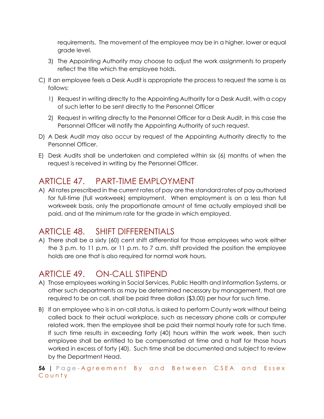requirements. The movement of the employee may be in a higher, lower or equal grade level.

- 3) The Appointing Authority may choose to adjust the work assignments to properly reflect the title which the employee holds.
- C) If an employee feels a Desk Audit is appropriate the process to request the same is as follows:
	- 1) Request in writing directly to the Appointing Authority for a Desk Audit, with a copy of such letter to be sent directly to the Personnel Officer
	- 2) Request in writing directly to the Personnel Officer for a Desk Audit, in this case the Personnel Officer will notify the Appointing Authority of such request.
- D) A Desk Audit may also occur by request of the Appointing Authority directly to the Personnel Officer.
- E) Desk Audits shall be undertaken and completed within six (6) months of when the request is received in writing by the Personnel Officer.

### ARTICLE 47. PART-TIME EMPLOYMENT

A) All rates prescribed in the current rates of pay are the standard rates of pay authorized for full-time (full workweek) employment. When employment is on a less than full workweek basis, only the proportionate amount of time actually employed shall be paid, and at the minimum rate for the grade in which employed.

#### ARTICLE 48. SHIFT DIFFERENTIALS

A) There shall be a sixty (60) cent shift differential for those employees who work either the 3 p.m. to 11 p.m. or 11 p.m. to 7 a.m. shift provided the position the employee holds are one that is also required for normal work hours.

## ARTICLE 49. ON-CALL STIPEND

- A) Those employees working in Social Services, Public Health and Information Systems, or other such departments as may be determined necessary by management, that are required to be on call, shall be paid three dollars (\$3.00) per hour for such time.
- B) If an employee who is in on-call status, is asked to perform County work without being called back to their actual workplace, such as necessary phone calls or computer related work, then the employee shall be paid their normal hourly rate for such time. If such time results in exceeding forty (40) hours within the work week, then such employee shall be entitled to be compensated at time and a half for those hours worked in excess of forty (40). Such time shall be documented and subject to review by the Department Head.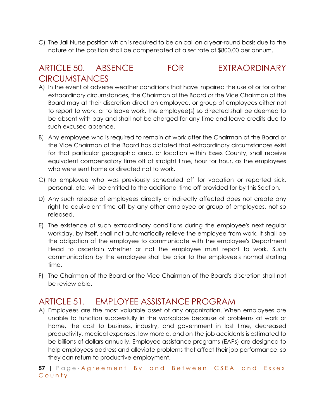C) The Jail Nurse position which is required to be on call on a year-round basis due to the nature of the position shall be compensated at a set rate of \$800.00 per annum.

#### ARTICLE 50. ABSENCE FOR EXTRAORDINARY **CIRCUMSTANCES**

- A) In the event of adverse weather conditions that have impaired the use of or for other extraordinary circumstances, the Chairman of the Board or the Vice Chairman of the Board may at their discretion direct an employee, or group of employees either not to report to work, or to leave work. The employee(s) so directed shall be deemed to be absent with pay and shall not be charged for any time and leave credits due to such excused absence.
- B) Any employee who is required to remain at work after the Chairman of the Board or the Vice Chairman of the Board has dictated that extraordinary circumstances exist for that particular geographic area, or location within Essex County, shall receive equivalent compensatory time off at straight time, hour for hour, as the employees who were sent home or directed not to work.
- C) No employee who was previously scheduled off for vacation or reported sick, personal, etc. will be entitled to the additional time off provided for by this Section.
- D) Any such release of employees directly or indirectly affected does not create any right to equivalent time off by any other employee or group of employees, not so released.
- E) The existence of such extraordinary conditions during the employee's next regular workday, by itself, shall not automatically relieve the employee from work. It shall be the obligation of the employee to communicate with the employee's Department Head to ascertain whether or not the employee must report to work. Such communication by the employee shall be prior to the employee's normal starting time.
- F) The Chairman of the Board or the Vice Chairman of the Board's discretion shall not be review able.

#### ARTICLE 51. EMPLOYEE ASSISTANCE PROGRAM

A) Employees are the most valuable asset of any organization. When employees are unable to function successfully in the workplace because of problems at work or home, the cost to business, industry, and government in lost time, decreased productivity, medical expenses, low morale, and on-the-job accidents is estimated to be billions of dollars annually. Employee assistance programs (EAPs) are designed to help employees address and alleviate problems that affect their job performance, so they can return to productive employment.

**57 |** Page - Agreement By and Between CSEA and Essex County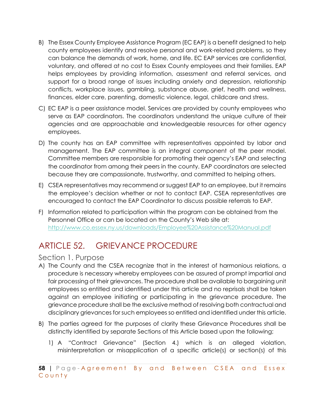- B) The Essex County Employee Assistance Program (EC EAP) is a benefit designed to help county employees identify and resolve personal and work-related problems, so they can balance the demands of work, home, and life. EC EAP services are confidential, voluntary, and offered at no cost to Essex County employees and their families. EAP helps employees by providing information, assessment and referral services, and support for a broad range of issues including anxiety and depression, relationship conflicts, workplace issues, gambling, substance abuse, grief, health and wellness, finances, elder care, parenting, domestic violence, legal, childcare and stress.
- C) EC EAP is a peer assistance model. Services are provided by county employees who serve as EAP coordinators. The coordinators understand the unique culture of their agencies and are approachable and knowledgeable resources for other agency employees.
- D) The county has an EAP committee with representatives appointed by labor and management. The EAP committee is an integral component of the peer model. Committee members are responsible for promoting their agency's EAP and selecting the coordinator from among their peers in the county. EAP coordinators are selected because they are compassionate, trustworthy, and committed to helping others.
- E) CSEA representatives may recommend or suggest EAP to an employee, but it remains the employee's decision whether or not to contact EAP. CSEA representatives are encouraged to contact the EAP Coordinator to discuss possible referrals to EAP.
- F) Information related to participation within the program can be obtained from the Personnel Office or can be located on the County's Web site at: http://www.co.essex.ny.us/downloads/Employee%20Assistance%20Manual.pdf

# ARTICLE 52. GRIEVANCE PROCEDURE

#### Section 1. Purpose

- A) The County and the CSEA recognize that in the interest of harmonious relations, a procedure is necessary whereby employees can be assured of prompt impartial and fair processing of their grievances. The procedure shall be available to bargaining unit employees so entitled and identified under this article and no reprisals shall be taken against an employee initiating or participating in the grievance procedure. The grievance procedure shall be the exclusive method of resolving both contractual and disciplinary grievances for such employees so entitled and identified under this article.
- B) The parties agreed for the purposes of clarity these Grievance Procedures shall be distinctly identified by separate Sections of this Article based upon the following;
	- 1) A "Contract Grievance" (Section 4.) which is an alleged violation, misinterpretation or misapplication of a specific article(s) or section(s) of this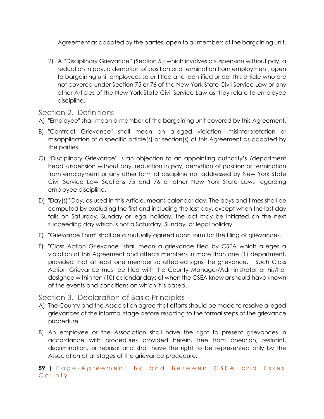Agreement as adopted by the parties, open to all members of the bargaining unit.

2) A "Disciplinary Grievance" (Section 5.) which involves a suspension without pay, a reduction in pay, a demotion of position or a termination from employment, open to bargaining unit employees so entitled and identified under this article who are not covered under Section 75 or 76 of the New York State Civil Service Law or any other Articles of the New York State Civil Service Law as they relate to employee discipline.

#### Section 2. Definitions

- A) "Employee" shall mean a member of the bargaining unit covered by this Agreement.
- B) "Contract Grievance" shall mean an alleged violation, misinterpretation or misapplication of a specific article(s) or section(s) of this Agreement as adopted by the parties.
- C) "Disciplinary Grievance" is an objection to an appointing authority's /department head suspension without pay, reduction in pay, demotion of position or termination from employment or any other form of discipline not addressed by New York State Civil Service Law Sections 75 and 76 or other New York State Laws regarding employee discipline.
- D) "Day(s)" Day, as used in this Article, means calendar day. The days and times shall be computed by excluding the first and including the last day, except when the last day falls on Saturday, Sunday or legal holiday, the act may be initiated on the next succeeding day which is not a Saturday, Sunday, or legal holiday.
- E) "Grievance Form" shall be a mutually agreed upon form for the filing of grievances.
- F) "Class Action Grievance" shall mean a grievance filed by CSEA which alleges a violation of this Agreement and affects members in more than one (1) department, provided that at least one member so affected signs the grievance. Such Class Action Grievance must be filed with the County Manager/Administrator or his/her designee within ten (10) calendar days of when the CSEA knew or should have known of the events and conditions on which it is based.

#### Section 3. Declaration of Basic Principles

- A) The County and the Association agree that efforts should be made to resolve alleged grievances at the informal stage before resorting to the formal steps of the grievance procedure.
- B) An employee or the Association shall have the right to present grievances in accordance with procedures provided herein, free from coercion, restraint, discrimination, or reprisal and shall have the right to be represented only by the Association at all stages of the grievance procedure.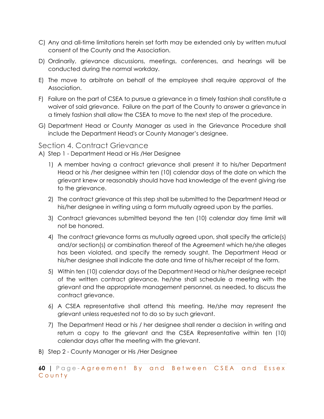- C) Any and all-time limitations herein set forth may be extended only by written mutual consent of the County and the Association.
- D) Ordinarily, grievance discussions, meetings, conferences, and hearings will be conducted during the normal workday.
- E) The move to arbitrate on behalf of the employee shall require approval of the Association.
- F) Failure on the part of CSEA to pursue a grievance in a timely fashion shall constitute a waiver of said grievance. Failure on the part of the County to answer a grievance in a timely fashion shall allow the CSEA to move to the next step of the procedure.
- G) Department Head or County Manager as used in the Grievance Procedure shall include the Department Head's or County Manager's designee.

#### Section 4. Contract Grievance

A) Step 1 - Department Head or His /Her Designee

- 1) A member having a contract grievance shall present it to his/her Department Head or his /her designee within ten (10) calendar days of the date on which the grievant knew or reasonably should have had knowledge of the event giving rise to the grievance.
- 2) The contract grievance at this step shall be submitted to the Department Head or his/her designee in writing using a form mutually agreed upon by the parties.
- 3) Contract grievances submitted beyond the ten (10) calendar day time limit will not be honored.
- 4) The contract grievance forms as mutually agreed upon, shall specify the article(s) and/or section(s) or combination thereof of the Agreement which he/she alleges has been violated, and specify the remedy sought. The Department Head or his/her designee shall indicate the date and time of his/her receipt of the form.
- 5) Within ten (10) calendar days of the Department Head or his/her designee receipt of the written contract grievance, he/she shall schedule a meeting with the grievant and the appropriate management personnel, as needed, to discuss the contract grievance.
- 6) A CSEA representative shall attend this meeting. He/she may represent the grievant unless requested not to do so by such grievant.
- 7) The Department Head or his / her designee shall render a decision in writing and return a copy to the grievant and the CSEA Representative within ten (10) calendar days after the meeting with the grievant.
- B) Step 2 County Manager or His /Her Designee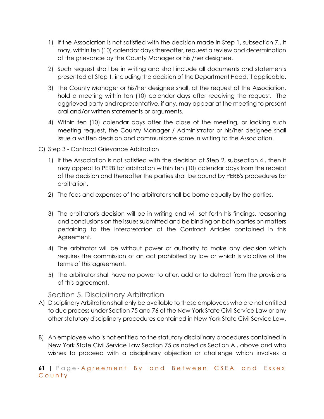- 1) If the Association is not satisfied with the decision made in Step 1, subsection 7., it may, within ten (10) calendar days thereafter, request a review and determination of the grievance by the County Manager or his /her designee.
- 2) Such request shall be in writing and shall include all documents and statements presented at Step 1, including the decision of the Department Head, if applicable.
- 3) The County Manager or his/her designee shall, at the request of the Association, hold a meeting within ten (10) calendar days after receiving the request. The aggrieved party and representative, if any, may appear at the meeting to present oral and/or written statements or arguments.
- 4) Within ten (10) calendar days after the close of the meeting, or lacking such meeting request, the County Manager / Administrator or his/her designee shall issue a written decision and communicate same in writing to the Association.
- C) Step 3 Contract Grievance Arbitration
	- 1) If the Association is not satisfied with the decision at Step 2, subsection 4., then it may appeal to PERB for arbitration within ten (10) calendar days from the receipt of the decision and thereafter the parties shall be bound by PERB's procedures for arbitration.
	- 2) The fees and expenses of the arbitrator shall be borne equally by the parties.
	- 3) The arbitrator's decision will be in writing and will set forth his findings, reasoning and conclusions on the issues submitted and be binding on both parties on matters pertaining to the interpretation of the Contract Articles contained in this Agreement.
	- 4) The arbitrator will be without power or authority to make any decision which requires the commission of an act prohibited by law or which is violative of the terms of this agreement.
	- 5) The arbitrator shall have no power to alter, add or to detract from the provisions of this agreement.

#### Section 5. Disciplinary Arbitration

- A) Disciplinary Arbitration shall only be available to those employees who are not entitled to due process under Section 75 and 76 of the New York State Civil Service Law or any other statutory disciplinary procedures contained in New York State Civil Service Law.
- B) An employee who is not entitled to the statutory disciplinary procedures contained in New York State Civil Service Law Section 75 as noted as Section A., above and who wishes to proceed with a disciplinary objection or challenge which involves a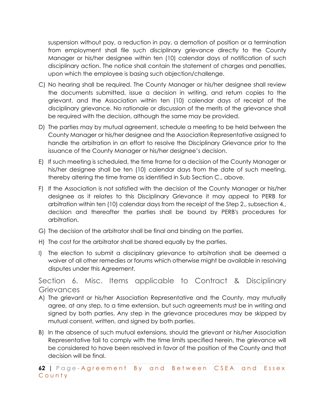suspension without pay, a reduction in pay, a demotion of position or a termination from employment shall file such disciplinary grievance directly to the County Manager or his/her designee within ten (10) calendar days of notification of such disciplinary action. The notice shall contain the statement of charges and penalties, upon which the employee is basing such objection/challenge.

- C) No hearing shall be required. The County Manager or his/her designee shall review the documents submitted, issue a decision in writing, and return copies to the grievant, and the Association within ten (10) calendar days of receipt of the disciplinary grievance. No rationale or discussion of the merits of the grievance shall be required with the decision, although the same may be provided.
- D) The parties may by mutual agreement, schedule a meeting to be held between the County Manager or his/her designee and the Association Representative assigned to handle the arbitration in an effort to resolve the Disciplinary Grievance prior to the issuance of the County Manager or his/her designee's decision.
- E) If such meeting is scheduled, the time frame for a decision of the County Manager or his/her designee shall be ten (10) calendar days from the date of such meeting, thereby altering the time frame as identified in Sub Section C., above.
- F) If the Association is not satisfied with the decision of the County Manager or his/her designee as it relates to this Disciplinary Grievance it may appeal to PERB for arbitration within ten (10) calendar days from the receipt of the Step 2., subsection 4., decision and thereafter the parties shall be bound by PERB's procedures for arbitration.
- G) The decision of the arbitrator shall be final and binding on the parties.
- H) The cost for the arbitrator shall be shared equally by the parties.
- I) The election to submit a disciplinary grievance to arbitration shall be deemed a waiver of all other remedies or forums which otherwise might be available in resolving disputes under this Agreement.

Section 6. Misc. Items applicable to Contract & Disciplinary **Grievances** 

- A) The grievant or his/her Association Representative and the County, may mutually agree, at any step, to a time extension, but such agreements must be in writing and signed by both parties. Any step in the grievance procedures may be skipped by mutual consent, written, and signed by both parties.
- B) In the absence of such mutual extensions, should the grievant or his/her Association Representative fail to comply with the time limits specified herein, the grievance will be considered to have been resolved in favor of the position of the County and that decision will be final.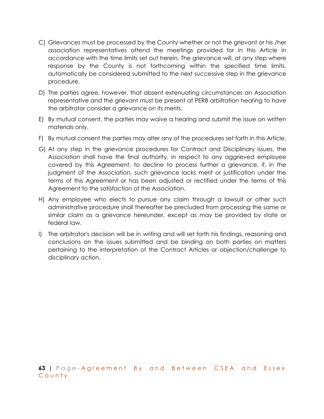- C) Grievances must be processed by the County whether or not the grievant or his /her association representatives attend the meetings provided for in this Article in accordance with the time limits set out herein. The grievance will, at any step where response by the County is not forthcoming within the specified time limits, automatically be considered submitted to the next successive step in the grievance procedure.
- D) The parties agree, however, that absent extenuating circumstances an Association representative and the grievant must be present at PERB arbitration hearing to have the arbitrator consider a grievance on its merits.
- E) By mutual consent, the parties may waive a hearing and submit the issue on written materials only.
- F) By mutual consent the parties may alter any of the procedures set forth in this Article.
- G) At any step in the grievance procedures for Contract and Disciplinary issues, the Association shall have the final authority, in respect to any aggrieved employee covered by this Agreement, to decline to process further a grievance, if, in the judgment of the Association, such grievance lacks merit or justification under the terms of this Agreement or has been adjusted or rectified under the terms of this Agreement to the satisfaction of the Association.
- H) Any employee who elects to pursue any claim through a lawsuit or other such administrative procedure shall thereafter be precluded from processing the same or similar claim as a grievance hereunder, except as may be provided by state or federal law.
- I) The arbitrator's decision will be in writing and will set forth his findings, reasoning and conclusions on the issues submitted and be binding on both parties on matters pertaining to the interpretation of the Contract Articles or objection/challenge to disciplinary action.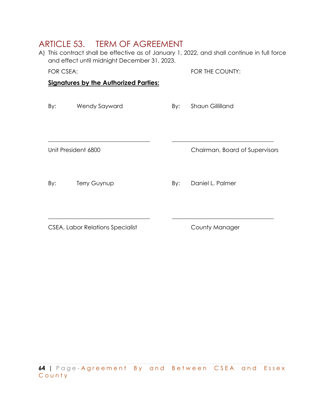## ARTICLE 53. TERM OF AGREEMENT

| A) This contract shall be effective as of January 1, 2022, and shall continue in full force |
|---------------------------------------------------------------------------------------------|
| and effect until midnight December 31, 2023.                                                |

FOR CSEA: FOR THE COUNTY:

#### **Signatures by the Authorized Parties:**

| By: | Wendy Sayward       | By: | Shaun Gillilland               |
|-----|---------------------|-----|--------------------------------|
|     |                     |     |                                |
|     | Unit President 6800 |     | Chairman, Board of Supervisors |
| By: | <b>Terry Guynup</b> | By: | Daniel L. Palmer               |
|     |                     |     |                                |

CSEA, Labor Relations Specialist County Manager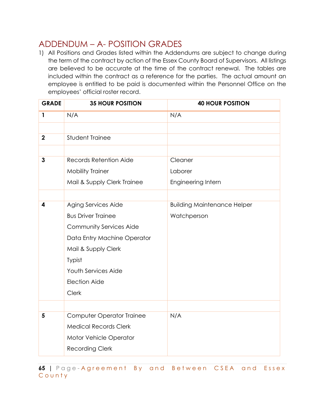## ADDENDUM – A- POSITION GRADES

1) All Positions and Grades listed within the Addendums are subject to change during the term of the contract by action of the Essex County Board of Supervisors. All listings are believed to be accurate at the time of the contract renewal. The tables are included within the contract as a reference for the parties. The actual amount an employee is entitled to be paid is documented within the Personnel Office on the employees' official roster record.

| <b>GRADE</b> | <b>35 HOUR POSITION</b>          | <b>40 HOUR POSITION</b>            |
|--------------|----------------------------------|------------------------------------|
| $\mathbf{1}$ | N/A                              | N/A                                |
|              |                                  |                                    |
| $\mathbf 2$  | <b>Student Trainee</b>           |                                    |
|              |                                  |                                    |
| 3            | Records Retention Aide           | Cleaner                            |
|              | <b>Mobility Trainer</b>          | Laborer                            |
|              | Mail & Supply Clerk Trainee      | Engineering Intern                 |
|              |                                  |                                    |
| 4            | Aging Services Aide              | <b>Building Maintenance Helper</b> |
|              | <b>Bus Driver Trainee</b>        | Watchperson                        |
|              | <b>Community Services Aide</b>   |                                    |
|              | Data Entry Machine Operator      |                                    |
|              | Mail & Supply Clerk              |                                    |
|              | Typist                           |                                    |
|              | <b>Youth Services Aide</b>       |                                    |
|              | <b>Election Aide</b>             |                                    |
|              | Clerk                            |                                    |
|              |                                  |                                    |
| 5            | <b>Computer Operator Trainee</b> | N/A                                |
|              | <b>Medical Records Clerk</b>     |                                    |
|              | Motor Vehicle Operator           |                                    |
|              | <b>Recording Clerk</b>           |                                    |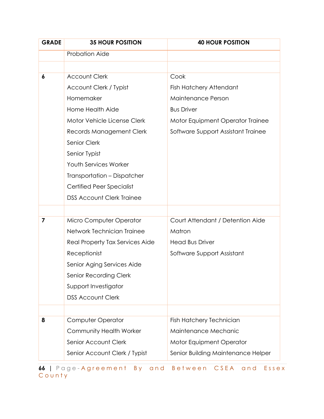| <b>GRADE</b> | <b>35 HOUR POSITION</b>          | <b>40 HOUR POSITION</b>            |
|--------------|----------------------------------|------------------------------------|
|              | <b>Probation Aide</b>            |                                    |
|              |                                  |                                    |
| 6            | <b>Account Clerk</b>             | Cook                               |
|              | Account Clerk / Typist           | Fish Hatchery Attendant            |
|              | Homemaker                        | Maintenance Person                 |
|              | Home Health Aide                 | <b>Bus Driver</b>                  |
|              | Motor Vehicle License Clerk      | Motor Equipment Operator Trainee   |
|              | Records Management Clerk         | Software Support Assistant Trainee |
|              | Senior Clerk                     |                                    |
|              | Senior Typist                    |                                    |
|              | <b>Youth Services Worker</b>     |                                    |
|              | Transportation - Dispatcher      |                                    |
|              | <b>Certified Peer Specialist</b> |                                    |
|              | <b>DSS Account Clerk Trainee</b> |                                    |
|              |                                  |                                    |
| 7            | Micro Computer Operator          | Court Attendant / Detention Aide   |
|              | Network Technician Trainee       | Matron                             |
|              | Real Property Tax Services Aide  | <b>Head Bus Driver</b>             |
|              | Receptionist                     | Software Support Assistant         |
|              | Senior Aging Services Aide       |                                    |
|              | Senior Recording Clerk           |                                    |
|              | Support Investigator             |                                    |
|              | <b>DSS Account Clerk</b>         |                                    |
|              |                                  |                                    |
| 8            | Computer Operator                | Fish Hatchery Technician           |
|              | Community Health Worker          | Maintenance Mechanic               |
|              | Senior Account Clerk             | Motor Equipment Operator           |
|              | Senior Account Clerk / Typist    | Senior Building Maintenance Helper |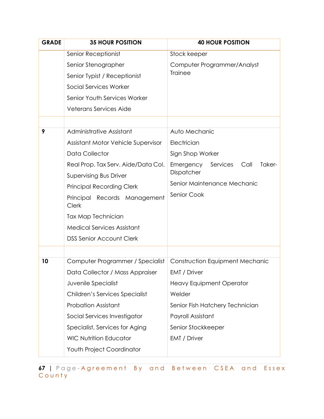| <b>GRADE</b> | <b>35 HOUR POSITION</b>                      | <b>40 HOUR POSITION</b>                 |  |  |
|--------------|----------------------------------------------|-----------------------------------------|--|--|
|              | Senior Receptionist                          | Stock keeper                            |  |  |
|              | Senior Stenographer                          | Computer Programmer/Analyst             |  |  |
|              | Senior Typist / Receptionist                 | <b>Trainee</b>                          |  |  |
|              | Social Services Worker                       |                                         |  |  |
|              | Senior Youth Services Worker                 |                                         |  |  |
|              | <b>Veterans Services Aide</b>                |                                         |  |  |
|              |                                              |                                         |  |  |
| 9            | Administrative Assistant                     | Auto Mechanic                           |  |  |
|              | Assistant Motor Vehicle Supervisor           | Electrician                             |  |  |
|              | <b>Data Collector</b>                        | Sign Shop Worker                        |  |  |
|              | Real Prop. Tax Serv. Aide/Data Col.          | Emergency<br>Services<br>Call<br>Taker- |  |  |
|              | <b>Supervising Bus Driver</b>                | Dispatcher                              |  |  |
|              | <b>Principal Recording Clerk</b>             | Senior Maintenance Mechanic             |  |  |
|              | Principal Records Management<br><b>Clerk</b> | Senior Cook                             |  |  |
|              | Tax Map Technician                           |                                         |  |  |
|              | <b>Medical Services Assistant</b>            |                                         |  |  |
|              | <b>DSS Senior Account Clerk</b>              |                                         |  |  |
|              |                                              |                                         |  |  |
| 10           | Computer Programmer / Specialist             | <b>Construction Equipment Mechanic</b>  |  |  |
|              | Data Collector / Mass Appraiser              | EMT / Driver                            |  |  |
|              | Juvenile Specialist                          | <b>Heavy Equipment Operator</b>         |  |  |
|              | Children's Services Specialist               | Welder                                  |  |  |
|              | <b>Probation Assistant</b>                   | Senior Fish Hatchery Technician         |  |  |
|              | Social Services Investigator                 | Payroll Assistant                       |  |  |
|              | Specialist, Services for Aging               | Senior Stockkeeper                      |  |  |
|              | <b>WIC Nutrition Educator</b>                | EMT / Driver                            |  |  |
|              | Youth Project Coordinator                    |                                         |  |  |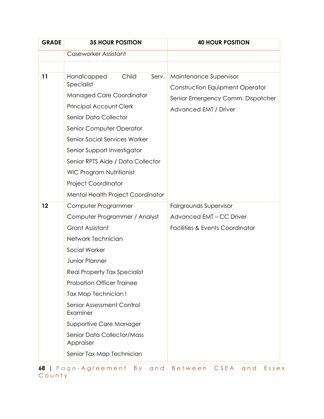| <b>GRADE</b> | <b>35 HOUR POSITION</b>                 | <b>40 HOUR POSITION</b>                    |
|--------------|-----------------------------------------|--------------------------------------------|
|              | Caseworker Assistant                    |                                            |
|              |                                         |                                            |
| 11           | Child<br>Handicapped<br>Serv.           | Maintenance Supervisor                     |
|              | Specialist                              | <b>Construction Equipment Operator</b>     |
|              | <b>Managed Care Coordinator</b>         | Senior Emergency Comm. Dispatcher          |
|              | <b>Principal Account Clerk</b>          | Advanced EMT / Driver                      |
|              | Senior Data Collector                   |                                            |
|              | Senior Computer Operator                |                                            |
|              | Senior Social Services Worker           |                                            |
|              | Senior Support Investigator             |                                            |
|              | Senior RPTS Aide / Data Collector       |                                            |
|              | <b>WIC Program Nutritionist</b>         |                                            |
|              | <b>Project Coordinator</b>              |                                            |
|              | Mental Health Project Coordinator       |                                            |
| 12           | Computer Programmer                     | Fairgrounds Supervisor                     |
|              | Computer Programmer / Analyst           | Advanced EMT - CC Driver                   |
|              | <b>Grant Assistant</b>                  | <b>Facilities &amp; Events Coordinator</b> |
|              | Network Technician                      |                                            |
|              | Social Worker                           |                                            |
|              | Junior Planner                          |                                            |
|              | Real Property Tax Specialist            |                                            |
|              | <b>Probation Officer Trainee</b>        |                                            |
|              | Tax Map Technician I                    |                                            |
|              | Senior Assessment Control<br>Examiner   |                                            |
|              | Supportive Care Manager                 |                                            |
|              | Senior Data Collector/Mass<br>Appraiser |                                            |
|              | Senior Tax Map Technician               |                                            |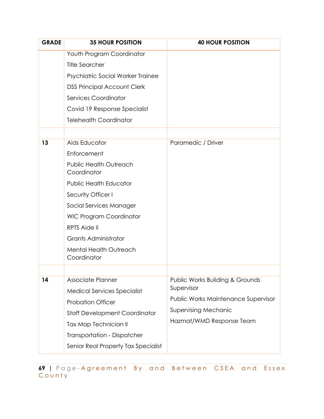| <b>GRADE</b> | <b>35 HOUR POSITION</b>                      | <b>40 HOUR POSITION</b>             |
|--------------|----------------------------------------------|-------------------------------------|
|              | Youth Program Coordinator                    |                                     |
|              | <b>Title Searcher</b>                        |                                     |
|              | Psychiatric Social Worker Trainee            |                                     |
|              | <b>DSS Principal Account Clerk</b>           |                                     |
|              | <b>Services Coordinator</b>                  |                                     |
|              | Covid 19 Response Specialist                 |                                     |
|              | <b>Telehealth Coordinator</b>                |                                     |
|              |                                              |                                     |
| 13           | Aids Educator                                | Paramedic / Driver                  |
|              | Enforcement                                  |                                     |
|              | <b>Public Health Outreach</b><br>Coordinator |                                     |
|              | <b>Public Health Educator</b>                |                                     |
|              | Security Officer I                           |                                     |
|              | Social Services Manager                      |                                     |
|              | <b>WIC Program Coordinator</b>               |                                     |
|              | <b>RPTS Aide II</b>                          |                                     |
|              | <b>Grants Administrator</b>                  |                                     |
|              | <b>Mental Health Outreach</b><br>Coordinator |                                     |
|              |                                              |                                     |
| 14           | Associate Planner                            | Public Works Building & Grounds     |
|              | <b>Medical Services Specialist</b>           | Supervisor                          |
|              | <b>Probation Officer</b>                     | Public Works Maintenance Supervisor |
|              | <b>Staff Development Coordinator</b>         | <b>Supervising Mechanic</b>         |
|              | Tax Map Technician II                        | Hazmat/WMD Response Team            |
|              | <b>Transportation - Dispatcher</b>           |                                     |
|              | Senior Real Property Tax Specialist          |                                     |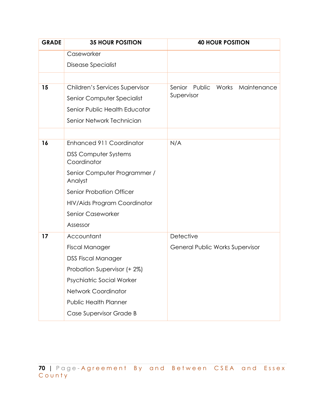| <b>35 HOUR POSITION</b>                    | <b>40 HOUR POSITION</b>               |
|--------------------------------------------|---------------------------------------|
| Caseworker                                 |                                       |
| Disease Specialist                         |                                       |
|                                            |                                       |
| Children's Services Supervisor             | Senior Public<br>Works<br>Maintenance |
| Senior Computer Specialist                 | Supervisor                            |
| Senior Public Health Educator              |                                       |
| Senior Network Technician                  |                                       |
|                                            |                                       |
| Enhanced 911 Coordinator                   | N/A                                   |
| <b>DSS Computer Systems</b><br>Coordinator |                                       |
| Senior Computer Programmer /<br>Analyst    |                                       |
| <b>Senior Probation Officer</b>            |                                       |
| HIV/Aids Program Coordinator               |                                       |
| Senior Caseworker                          |                                       |
| Assessor                                   |                                       |
| Accountant                                 | Detective                             |
| <b>Fiscal Manager</b>                      | General Public Works Supervisor       |
| <b>DSS Fiscal Manager</b>                  |                                       |
| Probation Supervisor (+ 2%)                |                                       |
| Psychiatric Social Worker                  |                                       |
| <b>Network Coordinator</b>                 |                                       |
| <b>Public Health Planner</b>               |                                       |
| Case Supervisor Grade B                    |                                       |
|                                            |                                       |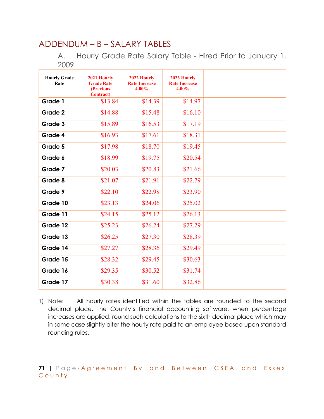#### ADDENDUM – B – SALARY TABLES

A. Hourly Grade Rate Salary Table - Hired Prior to January 1, 2009

| <b>Hourly Grade</b><br>Rate | 2021 Hourly<br><b>Grade Rate</b><br><b>(Previous)</b><br><b>Contract</b> ) | 2022 Hourly<br><b>Rate Increase</b><br>$4.00\%$ | 2023 Hourly<br><b>Rate Increase</b><br>$4.00\%$ |  |
|-----------------------------|----------------------------------------------------------------------------|-------------------------------------------------|-------------------------------------------------|--|
| Grade 1                     | \$13.84                                                                    | \$14.39                                         | \$14.97                                         |  |
| Grade 2                     | \$14.88                                                                    | \$15.48                                         | \$16.10                                         |  |
| Grade 3                     | \$15.89                                                                    | \$16.53                                         | \$17.19                                         |  |
| Grade 4                     | \$16.93                                                                    | \$17.61                                         | \$18.31                                         |  |
| Grade 5                     | \$17.98                                                                    | \$18.70                                         | \$19.45                                         |  |
| Grade 6                     | \$18.99                                                                    | \$19.75                                         | \$20.54                                         |  |
| Grade 7                     | \$20.03                                                                    | \$20.83                                         | \$21.66                                         |  |
| Grade 8                     | \$21.07                                                                    | \$21.91                                         | \$22.79                                         |  |
| Grade 9                     | \$22.10                                                                    | \$22.98                                         | \$23.90                                         |  |
| Grade 10                    | \$23.13                                                                    | \$24.06                                         | \$25.02                                         |  |
| Grade 11                    | \$24.15                                                                    | \$25.12                                         | \$26.13                                         |  |
| Grade 12                    | \$25.23                                                                    | \$26.24                                         | \$27.29                                         |  |
| Grade 13                    | \$26.25                                                                    | \$27.30                                         | \$28.39                                         |  |
| Grade 14                    | \$27.27                                                                    | \$28.36                                         | \$29.49                                         |  |
| Grade 15                    | \$28.32                                                                    | \$29.45                                         | \$30.63                                         |  |
| Grade 16                    | \$29.35                                                                    | \$30.52                                         | \$31.74                                         |  |
| Grade 17                    | \$30.38                                                                    | \$31.60                                         | \$32.86                                         |  |

1) Note: All hourly rates identified within the tables are rounded to the second decimal place. The County's financial accounting software, when percentage increases are applied, round such calculations to the sixth decimal place which may in some case slightly alter the hourly rate paid to an employee based upon standard rounding rules.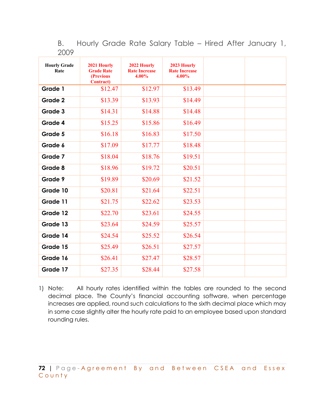B. Hourly Grade Rate Salary Table – Hired After January 1, 2009

| <b>Hourly Grade</b><br>Rate | 2021 Hourly<br><b>Grade Rate</b><br>(Previous<br><b>Contract</b> ) | 2022 Hourly<br><b>Rate Increase</b><br>$4.00\%$ | 2023 Hourly<br><b>Rate Increase</b><br>$4.00\%$ |  |
|-----------------------------|--------------------------------------------------------------------|-------------------------------------------------|-------------------------------------------------|--|
| Grade 1                     | \$12.47                                                            | \$12.97                                         | \$13.49                                         |  |
| Grade 2                     | \$13.39                                                            | \$13.93                                         | \$14.49                                         |  |
| Grade 3                     | \$14.31                                                            | \$14.88                                         | \$14.48                                         |  |
| Grade 4                     | \$15.25                                                            | \$15.86                                         | \$16.49                                         |  |
| Grade 5                     | \$16.18                                                            | \$16.83                                         | \$17.50                                         |  |
| Grade 6                     | \$17.09                                                            | \$17.77                                         | \$18.48                                         |  |
| Grade 7                     | \$18.04                                                            | \$18.76                                         | \$19.51                                         |  |
| Grade 8                     | \$18.96                                                            | \$19.72                                         | \$20.51                                         |  |
| Grade 9                     | \$19.89                                                            | \$20.69                                         | \$21.52                                         |  |
| Grade 10                    | \$20.81                                                            | \$21.64                                         | \$22.51                                         |  |
| Grade 11                    | \$21.75                                                            | \$22.62                                         | \$23.53                                         |  |
| Grade 12                    | \$22.70                                                            | \$23.61                                         | \$24.55                                         |  |
| Grade 13                    | \$23.64                                                            | \$24.59                                         | \$25.57                                         |  |
| Grade 14                    | \$24.54                                                            | \$25.52                                         | \$26.54                                         |  |
| Grade 15                    | \$25.49                                                            | \$26.51                                         | \$27.57                                         |  |
| Grade 16                    | \$26.41                                                            | \$27.47                                         | \$28.57                                         |  |
| Grade 17                    | \$27.35                                                            | \$28.44                                         | \$27.58                                         |  |

1) Note: All hourly rates identified within the tables are rounded to the second decimal place. The County's financial accounting software, when percentage increases are applied, round such calculations to the sixth decimal place which may in some case slightly alter the hourly rate paid to an employee based upon standard rounding rules.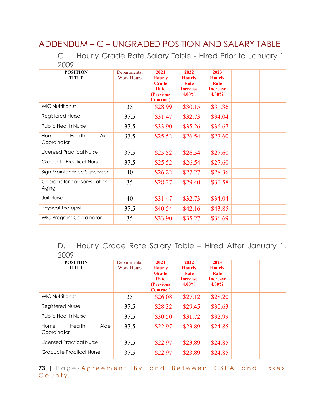## ADDENDUM – C – UNGRADED POSITION AND SALARY TABLE

C. Hourly Grade Rate Salary Table - Hired Prior to January 1, 2009

| <b>POSITION</b><br><b>TITLE</b>        | Departmental<br><b>Work Hours</b> | 2021<br><b>Hourly</b><br><b>Grade</b><br><b>Rate</b><br>(Previous<br><b>Contract</b> ) | 2022<br><b>Hourly</b><br>Rate<br><b>Increase</b><br>$4.00\%$ | 2023<br><b>Hourly</b><br>Rate<br><b>Increase</b><br>$4.00\%$ |  |
|----------------------------------------|-----------------------------------|----------------------------------------------------------------------------------------|--------------------------------------------------------------|--------------------------------------------------------------|--|
| <b>WIC Nutritionist</b>                | 35                                | \$28.99                                                                                | \$30.15                                                      | \$31.36                                                      |  |
| Registered Nurse                       | 37.5                              | \$31.47                                                                                | \$32.73                                                      | \$34.04                                                      |  |
| <b>Public Health Nurse</b>             | 37.5                              | \$33.90                                                                                | \$35.26                                                      | \$36.67                                                      |  |
| Health<br>Aide<br>Home<br>Coordinator  | 37.5                              | \$25.52                                                                                | \$26.54                                                      | \$27.60                                                      |  |
| Licensed Practical Nurse               | 37.5                              | \$25.52                                                                                | \$26.54                                                      | \$27.60                                                      |  |
| Graduate Practical Nurse               | 37.5                              | \$25.52                                                                                | \$26.54                                                      | \$27.60                                                      |  |
| Sign Maintenance Supervisor            | 40                                | \$26.22                                                                                | \$27.27                                                      | \$28.36                                                      |  |
| Coordinator for Servs, of the<br>Aging | 35                                | \$28.27                                                                                | \$29.40                                                      | \$30.58                                                      |  |
| Jail Nurse                             | 40                                | \$31.47                                                                                | \$32.73                                                      | \$34.04                                                      |  |
| <b>Physical Therapist</b>              | 37.5                              | \$40.54                                                                                | \$42.16                                                      | \$43.85                                                      |  |
| <b>WIC Program Coordinator</b>         | 35                                | \$33.90                                                                                | \$35.27                                                      | \$36.69                                                      |  |

D. Hourly Grade Rate Salary Table – Hired After January 1, 2009

| ∠◡◡៸                                  |                                   |                                                                                 |                                                              |                                                              |  |
|---------------------------------------|-----------------------------------|---------------------------------------------------------------------------------|--------------------------------------------------------------|--------------------------------------------------------------|--|
| <b>POSITION</b><br><b>TITLE</b>       | Departmental<br><b>Work Hours</b> | 2021<br><b>Hourly</b><br><b>Grade</b><br>Rate<br>(Previous<br><b>Contract</b> ) | 2022<br><b>Hourly</b><br>Rate<br><b>Increase</b><br>$4.00\%$ | 2023<br><b>Hourly</b><br>Rate<br><b>Increase</b><br>$4.00\%$ |  |
| <b>WIC Nutritionist</b>               | 35                                | \$26.08                                                                         | \$27.12                                                      | \$28.20                                                      |  |
| <b>Registered Nurse</b>               | 37.5                              | \$28.32                                                                         | \$29.45                                                      | \$30.63                                                      |  |
| <b>Public Health Nurse</b>            | 37.5                              | \$30.50                                                                         | \$31.72                                                      | \$32.99                                                      |  |
| Health<br>Aide<br>Home<br>Coordinator | 37.5                              | \$22.97                                                                         | \$23.89                                                      | \$24.85                                                      |  |
| Licensed Practical Nurse              | 37.5                              | \$22.97                                                                         | \$23.89                                                      | \$24.85                                                      |  |
| Graduate Practical Nurse              | 37.5                              | \$22.97                                                                         | \$23.89                                                      | \$24.85                                                      |  |

**73 |** Page - Agreement By and Between CSEA and Essex County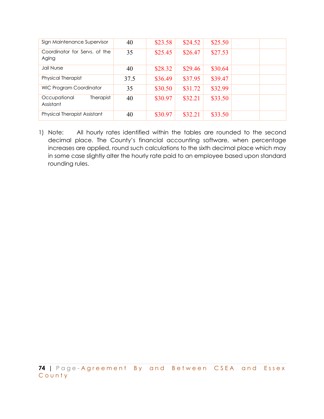| Sign Maintenance Supervisor            | 40   | \$23.58 | \$24.52 | \$25.50 |  |
|----------------------------------------|------|---------|---------|---------|--|
| Coordinator for Servs, of the<br>Aging | 35   | \$25.45 | \$26.47 | \$27.53 |  |
| Jail Nurse                             | 40   | \$28.32 | \$29.46 | \$30.64 |  |
| <b>Physical Therapist</b>              | 37.5 | \$36.49 | \$37.95 | \$39.47 |  |
| <b>WIC Program Coordinator</b>         | 35   | \$30.50 | \$31.72 | \$32.99 |  |
| Therapist<br>Occupational<br>Assistant | 40   | \$30.97 | \$32.21 | \$33.50 |  |
| <b>Physical Therapist Assistant</b>    | 40   | \$30.97 | \$32.21 | \$33.50 |  |

1) Note: All hourly rates identified within the tables are rounded to the second decimal place. The County's financial accounting software, when percentage increases are applied, round such calculations to the sixth decimal place which may in some case slightly alter the hourly rate paid to an employee based upon standard rounding rules.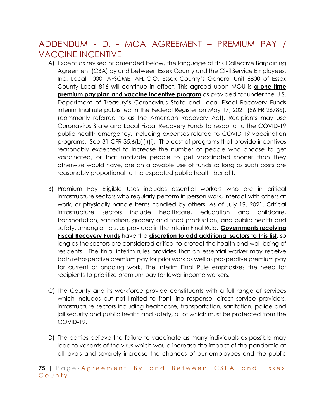## ADDENDUM - D. - MOA AGREEMENT – PREMIUM PAY / VACCINE INCENTIVE

- A) Except as revised or amended below, the language of this Collective Bargaining Agreement (CBA) by and between Essex County and the Civil Service Employees, Inc. Local 1000, AFSCME, AFL-CIO, Essex County's General Unit 6800 of Essex County Local 816 will continue in effect. This agreed upon MOU is **a one-time premium pay plan and vaccine incentive program** as provided for under the U.S. Department of Treasury's Coronavirus State and Local Fiscal Recovery Funds interim final rule published in the Federal Register on May 17, 2021 (86 FR 26786), (commonly referred to as the American Recovery Act). Recipients may use Coronavirus State and Local Fiscal Recovery Funds to respond to the COVID-19 public health emergency, including expenses related to COVID-19 vaccination programs. See 31 CFR 35.6(b)(l)(i). The cost of programs that provide incentives reasonably expected to increase the number of people who choose to get vaccinated, or that motivate people to get vaccinated sooner than they otherwise would have, are an allowable use of funds so long as such costs are reasonably proportional to the expected public health benefit.
- B) Premium Pay Eligible Uses includes essential workers who are in critical infrastructure sectors who regularly perform in person work, interact with others at work, or physically handle items handled by others. As of July 19, 2021, Critical infrastructure sectors include healthcare, education and childcare, transportation, sanitation, grocery and food production, and public health and safety, among others, as provided in the Interim Final Rule. **Governments receiving Fiscal Recovery Funds** have the **discretion to add additional sectors to this list**, so long as the sectors are considered critical to protect the health and well-being of residents. The finial interim rules provides that an essential worker may receive both retrospective premium pay for prior work as well as prospective premium pay for current or ongoing work. The Interim Final Rule emphasizes the need for recipients to prioritize premium pay for lower income workers.
- C) The County and its workforce provide constituents with a full range of services which includes but not limited to front line response, direct service providers, infrastructure sectors including healthcare, transportation, sanitation, police and jail security and public health and safety, all of which must be protected from the COVID-19.
- D) The parties believe the failure to vaccinate as many individuals as possible may lead to variants of the virus which would increase the impact of the pandemic at all levels and severely increase the chances of our employees and the public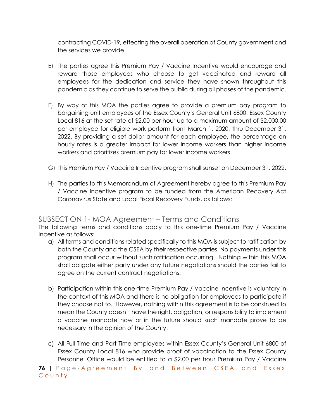contracting COVID-19, effecting the overall operation of County government and the services we provide.

- E) The parties agree this Premium Pay / Vaccine Incentive would encourage and reward those employees who choose to get vaccinated and reward all employees for the dedication and service they have shown throughout this pandemic as they continue to serve the public during all phases of the pandemic.
- F) By way of this MOA the parties agree to provide a premium pay program to bargaining unit employees of the Essex County's General Unit 6800, Essex County Local 816 at the set rate of \$2.00 per hour up to a maximum amount of \$2,000.00 per employee for eligible work perform from March 1, 2020, thru December 31, 2022. By providing a set dollar amount for each employee, the percentage on hourly rates is a greater impact for lower income workers than higher income workers and prioritizes premium pay for lower income workers.
- G) This Premium Pay / Vaccine Incentive program shall sunset on December 31, 2022.
- H) The parties to this Memorandum of Agreement hereby agree to this Premium Pay / Vaccine Incentive program to be funded from the American Recovery Act Coronavirus State and Local Fiscal Recovery Funds, as follows:

## SUBSECTION 1- MOA Agreement – Terms and Conditions

The following terms and conditions apply to this one-time Premium Pay / Vaccine Incentive as follows:

- a) All terms and conditions related specifically to this MOA is subject to ratification by both the County and the CSEA by their respective parties. No payments under this program shall occur without such ratification occurring. Nothing within this MOA shall obligate either party under any future negotiations should the parties fail to agree on the current contract negotiations.
- b) Participation within this one-time Premium Pay / Vaccine Incentive is voluntary in the context of this MOA and there is no obligation for employees to participate if they choose not to. However, nothing within this agreement is to be construed to mean the County doesn't have the right, obligation, or responsibility to implement a vaccine mandate now or in the future should such mandate prove to be necessary in the opinion of the County.
- c) All Full Time and Part Time employees within Essex County's General Unit 6800 of Essex County Local 816 who provide proof of vaccination to the Essex County Personnel Office would be entitled to a \$2.00 per hour Premium Pay / Vaccine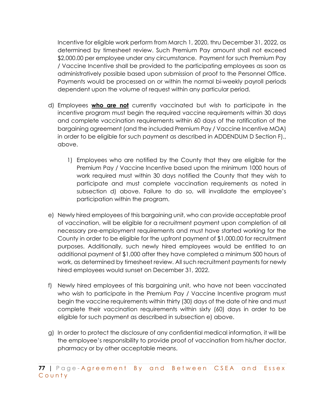Incentive for eligible work perform from March 1, 2020, thru December 31, 2022, as determined by timesheet review. Such Premium Pay amount shall not exceed \$2,000.00 per employee under any circumstance. Payment for such Premium Pay / Vaccine Incentive shall be provided to the participating employees as soon as administratively possible based upon submission of proof to the Personnel Office. Payments would be processed on or within the normal bi-weekly payroll periods dependent upon the volume of request within any particular period.

- d) Employees **who are not** currently vaccinated but wish to participate in the incentive program must begin the required vaccine requirements within 30 days and complete vaccination requirements within 60 days of the ratification of the bargaining agreement (and the included Premium Pay / Vaccine Incentive MOA) in order to be eligible for such payment as described in ADDENDUM D Section F)., above.
	- 1) Employees who are notified by the County that they are eligible for the Premium Pay / Vaccine Incentive based upon the minimum 1000 hours of work required must within 30 days notified the County that they wish to participate and must complete vaccination requirements as noted in subsection d) above. Failure to do so, will invalidate the employee's participation within the program.
- e) Newly hired employees of this bargaining unit, who can provide acceptable proof of vaccination, will be eligible for a recruitment payment upon completion of all necessary pre-employment requirements and must have started working for the County in order to be eligible for the upfront payment of \$1,000.00 for recruitment purposes. Additionally, such newly hired employees would be entitled to an additional payment of \$1,000 after they have completed a minimum 500 hours of work, as determined by timesheet review. All such recruitment payments for newly hired employees would sunset on December 31, 2022.
- f) Newly hired employees of this bargaining unit, who have not been vaccinated who wish to participate in the Premium Pay / Vaccine Incentive program must begin the vaccine requirements within thirty (30) days of the date of hire and must complete their vaccination requirements within sixty (60) days in order to be eligible for such payment as described in subsection e) above.
- g) In order to protect the disclosure of any confidential medical information, it will be the employee's responsibility to provide proof of vaccination from his/her doctor, pharmacy or by other acceptable means.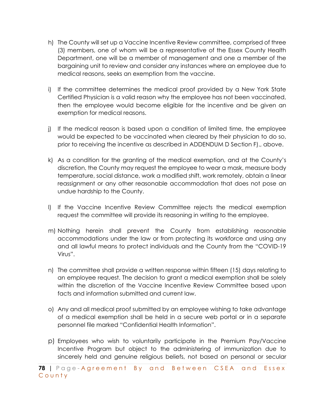- h) The County will set up a Vaccine Incentive Review committee, comprised of three (3) members, one of whom will be a representative of the Essex County Health Department, one will be a member of management and one a member of the bargaining unit to review and consider any instances where an employee due to medical reasons, seeks an exemption from the vaccine.
- i) If the committee determines the medical proof provided by a New York State Certified Physician is a valid reason why the employee has not been vaccinated, then the employee would become eligible for the incentive and be given an exemption for medical reasons.
- j) If the medical reason is based upon a condition of limited time, the employee would be expected to be vaccinated when cleared by their physician to do so, prior to receiving the incentive as described in ADDENDUM D Section F)., above.
- k) As a condition for the granting of the medical exemption, and at the County's discretion, the County may request the employee to wear a mask, measure body temperature, social distance, work a modified shift, work remotely, obtain a linear reassignment or any other reasonable accommodation that does not pose an undue hardship to the County.
- l) If the Vaccine Incentive Review Committee rejects the medical exemption request the committee will provide its reasoning in writing to the employee.
- m) Nothing herein shall prevent the County from establishing reasonable accommodations under the law or from protecting its workforce and using any and all lawful means to protect individuals and the County from the "COVID-19 Virus".
- n) The committee shall provide a written response within fifteen (15) days relating to an employee request. The decision to grant a medical exemption shall be solely within the discretion of the Vaccine Incentive Review Committee based upon facts and information submitted and current law.
- o) Any and all medical proof submitted by an employee wishing to take advantage of a medical exemption shall be held in a secure web portal or in a separate personnel file marked "Confidential Health Information".
- p) Employees who wish to voluntarily participate in the Premium Pay/Vaccine Incentive Program but object to the administering of immunization due to sincerely held and genuine religious beliefs, not based on personal or secular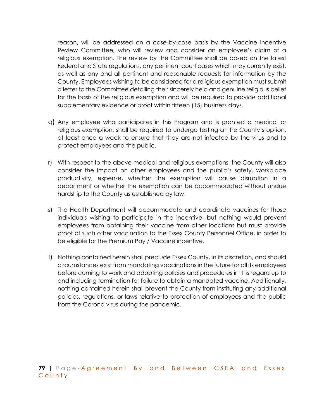reason, will be addressed on a case-by-case basis by the Vaccine Incentive Review Committee, who will review and consider an employee's claim of a religious exemption. The review by the Committee shall be based on the latest Federal and State regulations, any pertinent court cases which may currently exist, as well as any and all pertinent and reasonable requests for information by the County. Employees wishing to be considered for a religious exemption must submit a letter to the Committee detailing their sincerely held and genuine religious belief for the basis of the religious exemption and will be required to provide additional supplementary evidence or proof within fifteen (15) business days.

- q) Any employee who participates in this Program and is granted a medical or religious exemption, shall be required to undergo testing at the County's option, at least once a week to ensure that they are not infected by the virus and to protect employees and the public.
- r) With respect to the above medical and religious exemptions, the County will also consider the impact on other employees and the public's safety, workplace productivity, expense, whether the exemption will cause disruption in a department or whether the exemption can be accommodated without undue hardship to the County as established by law.
- s) The Health Department will accommodate and coordinate vaccines for those individuals wishing to participate in the incentive, but nothing would prevent employees from obtaining their vaccine from other locations but must provide proof of such other vaccination to the Essex County Personnel Office, in order to be eligible for the Premium Pay / Vaccine incentive.
- t) Nothing contained herein shall preclude Essex County, in its discretion, and should circumstances exist from mandating vaccinations in the future for all its employees before coming to work and adopting policies and procedures in this regard up to and including termination for failure to obtain a mandated vaccine. Additionally, nothing contained herein shall prevent the County from instituting any additional policies, regulations, or laws relative to protection of employees and the public from the Corona virus during the pandemic.